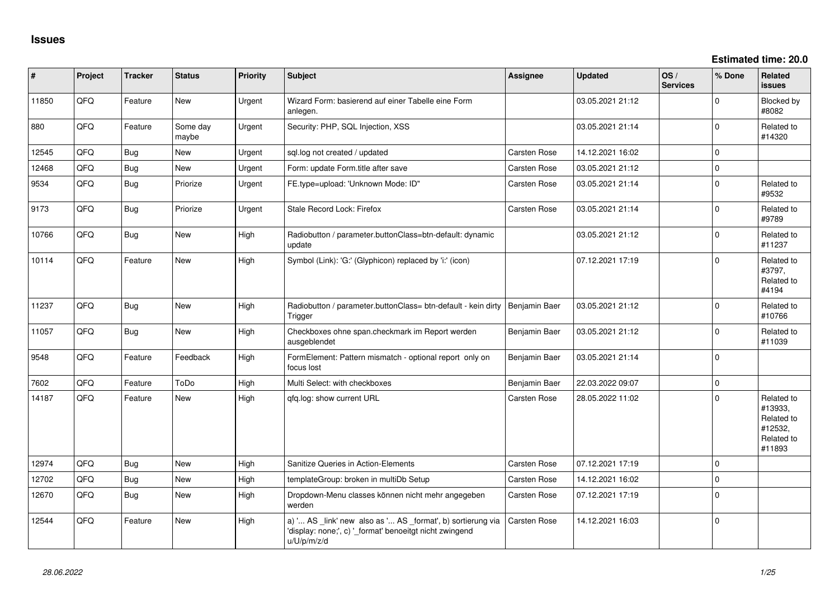**Estimated time: 20.0**

| #     | Project | <b>Tracker</b> | <b>Status</b>     | <b>Priority</b> | Subject                                                                                                                               | <b>Assignee</b> | <b>Updated</b>   | OS/<br><b>Services</b> | % Done         | Related<br><b>issues</b>                                               |
|-------|---------|----------------|-------------------|-----------------|---------------------------------------------------------------------------------------------------------------------------------------|-----------------|------------------|------------------------|----------------|------------------------------------------------------------------------|
| 11850 | QFQ     | Feature        | <b>New</b>        | Urgent          | Wizard Form: basierend auf einer Tabelle eine Form<br>anlegen.                                                                        |                 | 03.05.2021 21:12 |                        | $\Omega$       | Blocked by<br>#8082                                                    |
| 880   | QFQ     | Feature        | Some day<br>maybe | Urgent          | Security: PHP, SQL Injection, XSS                                                                                                     |                 | 03.05.2021 21:14 |                        | $\Omega$       | Related to<br>#14320                                                   |
| 12545 | QFQ     | <b>Bug</b>     | <b>New</b>        | Urgent          | sgl.log not created / updated                                                                                                         | Carsten Rose    | 14.12.2021 16:02 |                        | $\Omega$       |                                                                        |
| 12468 | QFQ     | <b>Bug</b>     | New               | Urgent          | Form: update Form.title after save                                                                                                    | Carsten Rose    | 03.05.2021 21:12 |                        | $\mathbf 0$    |                                                                        |
| 9534  | QFQ     | <b>Bug</b>     | Priorize          | Urgent          | FE.type=upload: 'Unknown Mode: ID"                                                                                                    | Carsten Rose    | 03.05.2021 21:14 |                        | $\Omega$       | Related to<br>#9532                                                    |
| 9173  | QFQ     | <b>Bug</b>     | Priorize          | Urgent          | Stale Record Lock: Firefox                                                                                                            | Carsten Rose    | 03.05.2021 21:14 |                        | $\Omega$       | Related to<br>#9789                                                    |
| 10766 | QFQ     | <b>Bug</b>     | New               | High            | Radiobutton / parameter.buttonClass=btn-default: dynamic<br>update                                                                    |                 | 03.05.2021 21:12 |                        | $\Omega$       | Related to<br>#11237                                                   |
| 10114 | QFQ     | Feature        | <b>New</b>        | High            | Symbol (Link): 'G:' (Glyphicon) replaced by 'i:' (icon)                                                                               |                 | 07.12.2021 17:19 |                        | $\Omega$       | Related to<br>#3797,<br>Related to<br>#4194                            |
| 11237 | QFQ     | <b>Bug</b>     | <b>New</b>        | High            | Radiobutton / parameter.buttonClass= btn-default - kein dirty<br>Trigger                                                              | Benjamin Baer   | 03.05.2021 21:12 |                        | $\Omega$       | Related to<br>#10766                                                   |
| 11057 | QFQ     | <b>Bug</b>     | New               | High            | Checkboxes ohne span.checkmark im Report werden<br>ausgeblendet                                                                       | Benjamin Baer   | 03.05.2021 21:12 |                        | $\Omega$       | Related to<br>#11039                                                   |
| 9548  | QFQ     | Feature        | Feedback          | High            | FormElement: Pattern mismatch - optional report only on<br>focus lost                                                                 | Benjamin Baer   | 03.05.2021 21:14 |                        | $\Omega$       |                                                                        |
| 7602  | QFQ     | Feature        | ToDo              | High            | Multi Select: with checkboxes                                                                                                         | Benjamin Baer   | 22.03.2022 09:07 |                        | $\Omega$       |                                                                        |
| 14187 | QFQ     | Feature        | <b>New</b>        | High            | qfq.log: show current URL                                                                                                             | Carsten Rose    | 28.05.2022 11:02 |                        | $\Omega$       | Related to<br>#13933,<br>Related to<br>#12532,<br>Related to<br>#11893 |
| 12974 | QFQ     | Bug            | <b>New</b>        | High            | Sanitize Queries in Action-Elements                                                                                                   | Carsten Rose    | 07.12.2021 17:19 |                        | $\overline{0}$ |                                                                        |
| 12702 | QFQ     | <b>Bug</b>     | <b>New</b>        | High            | templateGroup: broken in multiDb Setup                                                                                                | Carsten Rose    | 14.12.2021 16:02 |                        | $\Omega$       |                                                                        |
| 12670 | QFQ     | <b>Bug</b>     | New               | High            | Dropdown-Menu classes können nicht mehr angegeben<br>werden                                                                           | Carsten Rose    | 07.12.2021 17:19 |                        | $\Omega$       |                                                                        |
| 12544 | QFQ     | Feature        | <b>New</b>        | High            | a) ' AS _link' new also as ' AS _format', b) sortierung via<br>'display: none;', c) '_format' benoeitgt nicht zwingend<br>u/U/p/m/z/d | Carsten Rose    | 14.12.2021 16:03 |                        | $\mathbf 0$    |                                                                        |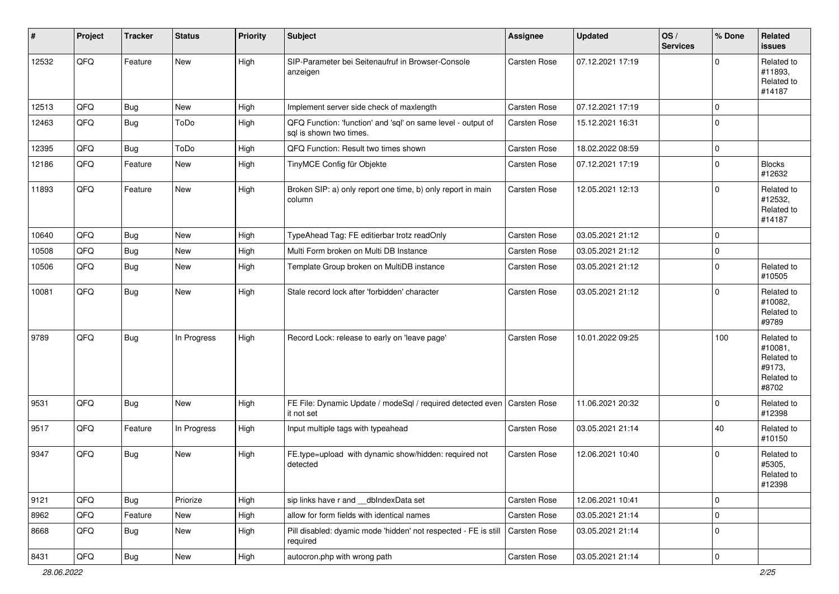| #     | Project | <b>Tracker</b> | <b>Status</b> | <b>Priority</b> | <b>Subject</b>                                                                          | <b>Assignee</b>     | <b>Updated</b>   | OS/<br><b>Services</b> | % Done      | Related<br><b>issues</b>                                             |
|-------|---------|----------------|---------------|-----------------|-----------------------------------------------------------------------------------------|---------------------|------------------|------------------------|-------------|----------------------------------------------------------------------|
| 12532 | QFQ     | Feature        | New           | High            | SIP-Parameter bei Seitenaufruf in Browser-Console<br>anzeigen                           | Carsten Rose        | 07.12.2021 17:19 |                        | $\Omega$    | Related to<br>#11893,<br>Related to<br>#14187                        |
| 12513 | QFQ     | <b>Bug</b>     | <b>New</b>    | High            | Implement server side check of maxlength                                                | Carsten Rose        | 07.12.2021 17:19 |                        | $\Omega$    |                                                                      |
| 12463 | QFQ     | <b>Bug</b>     | ToDo          | High            | QFQ Function: 'function' and 'sql' on same level - output of<br>sql is shown two times. | Carsten Rose        | 15.12.2021 16:31 |                        | $\mathbf 0$ |                                                                      |
| 12395 | QFQ     | <b>Bug</b>     | ToDo          | High            | QFQ Function: Result two times shown                                                    | Carsten Rose        | 18.02.2022 08:59 |                        | $\mathbf 0$ |                                                                      |
| 12186 | QFQ     | Feature        | <b>New</b>    | High            | TinyMCE Config für Objekte                                                              | Carsten Rose        | 07.12.2021 17:19 |                        | $\mathbf 0$ | <b>Blocks</b><br>#12632                                              |
| 11893 | QFQ     | Feature        | New           | High            | Broken SIP: a) only report one time, b) only report in main<br>column                   | Carsten Rose        | 12.05.2021 12:13 |                        | $\Omega$    | Related to<br>#12532,<br>Related to<br>#14187                        |
| 10640 | QFQ     | <b>Bug</b>     | New           | High            | TypeAhead Tag: FE editierbar trotz readOnly                                             | Carsten Rose        | 03.05.2021 21:12 |                        | $\mathbf 0$ |                                                                      |
| 10508 | QFQ     | <b>Bug</b>     | New           | High            | Multi Form broken on Multi DB Instance                                                  | Carsten Rose        | 03.05.2021 21:12 |                        | $\mathbf 0$ |                                                                      |
| 10506 | QFQ     | <b>Bug</b>     | New           | High            | Template Group broken on MultiDB instance                                               | Carsten Rose        | 03.05.2021 21:12 |                        | $\mathbf 0$ | Related to<br>#10505                                                 |
| 10081 | QFQ     | <b>Bug</b>     | New           | High            | Stale record lock after 'forbidden' character                                           | Carsten Rose        | 03.05.2021 21:12 |                        | $\Omega$    | Related to<br>#10082,<br>Related to<br>#9789                         |
| 9789  | QFQ     | <b>Bug</b>     | In Progress   | High            | Record Lock: release to early on 'leave page'                                           | <b>Carsten Rose</b> | 10.01.2022 09:25 |                        | 100         | Related to<br>#10081,<br>Related to<br>#9173,<br>Related to<br>#8702 |
| 9531  | QFQ     | <b>Bug</b>     | <b>New</b>    | High            | FE File: Dynamic Update / modeSql / required detected even<br>it not set                | <b>Carsten Rose</b> | 11.06.2021 20:32 |                        | $\Omega$    | Related to<br>#12398                                                 |
| 9517  | QFQ     | Feature        | In Progress   | High            | Input multiple tags with typeahead                                                      | Carsten Rose        | 03.05.2021 21:14 |                        | 40          | Related to<br>#10150                                                 |
| 9347  | QFQ     | <b>Bug</b>     | New           | High            | FE.type=upload with dynamic show/hidden: required not<br>detected                       | Carsten Rose        | 12.06.2021 10:40 |                        | $\Omega$    | Related to<br>#5305,<br>Related to<br>#12398                         |
| 9121  | QFQ     | <b>Bug</b>     | Priorize      | High            | sip links have r and __dbIndexData set                                                  | Carsten Rose        | 12.06.2021 10:41 |                        | $\mathbf 0$ |                                                                      |
| 8962  | QFQ     | Feature        | New           | High            | allow for form fields with identical names                                              | Carsten Rose        | 03.05.2021 21:14 |                        | $\mathbf 0$ |                                                                      |
| 8668  | QFQ     | <b>Bug</b>     | New           | High            | Pill disabled: dyamic mode 'hidden' not respected - FE is still<br>required             | Carsten Rose        | 03.05.2021 21:14 |                        | $\mathbf 0$ |                                                                      |
| 8431  | QFQ     | <b>Bug</b>     | New           | High            | autocron.php with wrong path                                                            | Carsten Rose        | 03.05.2021 21:14 |                        | $\mathbf 0$ |                                                                      |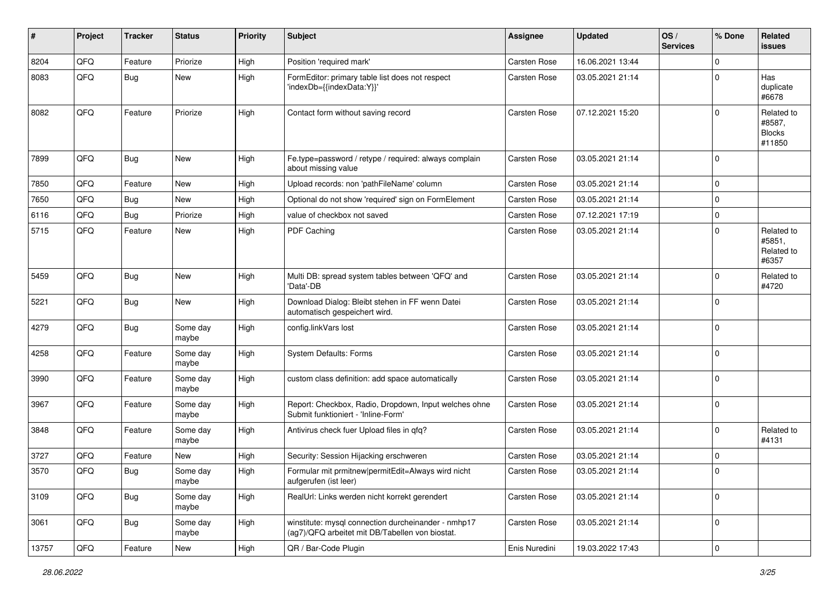| #     | Project | <b>Tracker</b> | <b>Status</b>     | <b>Priority</b> | <b>Subject</b>                                                                                         | <b>Assignee</b>     | <b>Updated</b>   | OS/<br><b>Services</b> | % Done         | Related<br><b>issues</b>                        |
|-------|---------|----------------|-------------------|-----------------|--------------------------------------------------------------------------------------------------------|---------------------|------------------|------------------------|----------------|-------------------------------------------------|
| 8204  | QFQ     | Feature        | Priorize          | High            | Position 'required mark'                                                                               | Carsten Rose        | 16.06.2021 13:44 |                        | $\mathbf 0$    |                                                 |
| 8083  | QFQ     | Bug            | New               | High            | FormEditor: primary table list does not respect<br>'indexDb={{indexData:Y}}'                           | Carsten Rose        | 03.05.2021 21:14 |                        | $\mathbf 0$    | Has<br>duplicate<br>#6678                       |
| 8082  | QFQ     | Feature        | Priorize          | High            | Contact form without saving record                                                                     | Carsten Rose        | 07.12.2021 15:20 |                        | $\Omega$       | Related to<br>#8587,<br><b>Blocks</b><br>#11850 |
| 7899  | QFQ     | Bug            | <b>New</b>        | High            | Fe.type=password / retype / required: always complain<br>about missing value                           | <b>Carsten Rose</b> | 03.05.2021 21:14 |                        | 0              |                                                 |
| 7850  | QFQ     | Feature        | <b>New</b>        | High            | Upload records: non 'pathFileName' column                                                              | Carsten Rose        | 03.05.2021 21:14 |                        | $\mathbf 0$    |                                                 |
| 7650  | QFQ     | Bug            | <b>New</b>        | High            | Optional do not show 'required' sign on FormElement                                                    | Carsten Rose        | 03.05.2021 21:14 |                        | $\mathbf 0$    |                                                 |
| 6116  | QFQ     | <b>Bug</b>     | Priorize          | High            | value of checkbox not saved                                                                            | Carsten Rose        | 07.12.2021 17:19 |                        | $\mathbf 0$    |                                                 |
| 5715  | QFQ     | Feature        | New               | High            | PDF Caching                                                                                            | Carsten Rose        | 03.05.2021 21:14 |                        | $\mathbf 0$    | Related to<br>#5851,<br>Related to<br>#6357     |
| 5459  | QFQ     | Bug            | New               | High            | Multi DB: spread system tables between 'QFQ' and<br>'Data'-DB                                          | <b>Carsten Rose</b> | 03.05.2021 21:14 |                        | $\mathbf 0$    | Related to<br>#4720                             |
| 5221  | QFQ     | Bug            | <b>New</b>        | High            | Download Dialog: Bleibt stehen in FF wenn Datei<br>automatisch gespeichert wird.                       | Carsten Rose        | 03.05.2021 21:14 |                        | 0              |                                                 |
| 4279  | QFQ     | <b>Bug</b>     | Some day<br>maybe | High            | config.linkVars lost                                                                                   | Carsten Rose        | 03.05.2021 21:14 |                        | $\mathbf 0$    |                                                 |
| 4258  | QFQ     | Feature        | Some day<br>maybe | High            | <b>System Defaults: Forms</b>                                                                          | Carsten Rose        | 03.05.2021 21:14 |                        | $\mathbf 0$    |                                                 |
| 3990  | QFQ     | Feature        | Some day<br>maybe | High            | custom class definition: add space automatically                                                       | Carsten Rose        | 03.05.2021 21:14 |                        | $\Omega$       |                                                 |
| 3967  | QFQ     | Feature        | Some day<br>maybe | High            | Report: Checkbox, Radio, Dropdown, Input welches ohne<br>Submit funktioniert - 'Inline-Form'           | Carsten Rose        | 03.05.2021 21:14 |                        | 0              |                                                 |
| 3848  | QFQ     | Feature        | Some day<br>maybe | High            | Antivirus check fuer Upload files in qfq?                                                              | <b>Carsten Rose</b> | 03.05.2021 21:14 |                        | $\Omega$       | Related to<br>#4131                             |
| 3727  | QFQ     | Feature        | <b>New</b>        | High            | Security: Session Hijacking erschweren                                                                 | Carsten Rose        | 03.05.2021 21:14 |                        | 0              |                                                 |
| 3570  | QFQ     | Bug            | Some day<br>maybe | High            | Formular mit prmitnew permitEdit=Always wird nicht<br>aufgerufen (ist leer)                            | Carsten Rose        | 03.05.2021 21:14 |                        | $\Omega$       |                                                 |
| 3109  | QFQ     | Bug            | Some day<br>maybe | High            | RealUrl: Links werden nicht korrekt gerendert                                                          | Carsten Rose        | 03.05.2021 21:14 |                        | 0              |                                                 |
| 3061  | QFQ     | Bug            | Some day<br>maybe | High            | winstitute: mysql connection durcheinander - nmhp17<br>(ag7)/QFQ arbeitet mit DB/Tabellen von biostat. | Carsten Rose        | 03.05.2021 21:14 |                        | 0              |                                                 |
| 13757 | QFQ     | Feature        | New               | High            | QR / Bar-Code Plugin                                                                                   | Enis Nuredini       | 19.03.2022 17:43 |                        | $\overline{0}$ |                                                 |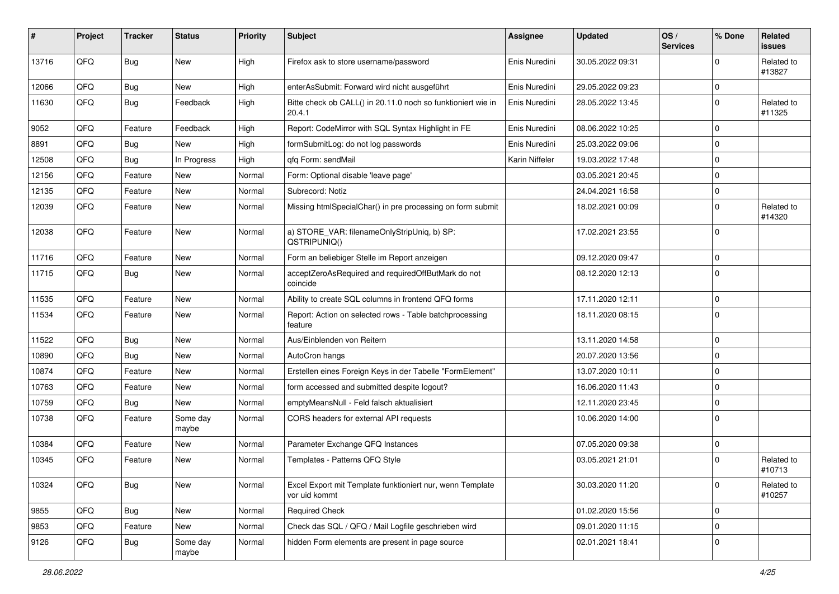| #     | Project | <b>Tracker</b> | <b>Status</b>     | <b>Priority</b> | <b>Subject</b>                                                             | Assignee       | <b>Updated</b>   | OS/<br><b>Services</b> | % Done         | Related<br>issues    |
|-------|---------|----------------|-------------------|-----------------|----------------------------------------------------------------------------|----------------|------------------|------------------------|----------------|----------------------|
| 13716 | QFQ     | Bug            | <b>New</b>        | High            | Firefox ask to store username/password                                     | Enis Nuredini  | 30.05.2022 09:31 |                        | $\Omega$       | Related to<br>#13827 |
| 12066 | QFQ     | <b>Bug</b>     | New               | High            | enterAsSubmit: Forward wird nicht ausgeführt                               | Enis Nuredini  | 29.05.2022 09:23 |                        | $\mathbf 0$    |                      |
| 11630 | QFQ     | Bug            | Feedback          | High            | Bitte check ob CALL() in 20.11.0 noch so funktioniert wie in<br>20.4.1     | Enis Nuredini  | 28.05.2022 13:45 |                        | $\Omega$       | Related to<br>#11325 |
| 9052  | QFQ     | Feature        | Feedback          | High            | Report: CodeMirror with SQL Syntax Highlight in FE                         | Enis Nuredini  | 08.06.2022 10:25 |                        | $\overline{0}$ |                      |
| 8891  | QFQ     | <b>Bug</b>     | New               | High            | formSubmitLog: do not log passwords                                        | Enis Nuredini  | 25.03.2022 09:06 |                        | $\mathbf 0$    |                      |
| 12508 | QFQ     | Bug            | In Progress       | High            | qfq Form: sendMail                                                         | Karin Niffeler | 19.03.2022 17:48 |                        | 0              |                      |
| 12156 | QFQ     | Feature        | <b>New</b>        | Normal          | Form: Optional disable 'leave page'                                        |                | 03.05.2021 20:45 |                        | $\mathbf 0$    |                      |
| 12135 | QFQ     | Feature        | New               | Normal          | Subrecord: Notiz                                                           |                | 24.04.2021 16:58 |                        | $\mathbf 0$    |                      |
| 12039 | QFQ     | Feature        | New               | Normal          | Missing htmlSpecialChar() in pre processing on form submit                 |                | 18.02.2021 00:09 |                        | 0              | Related to<br>#14320 |
| 12038 | QFQ     | Feature        | <b>New</b>        | Normal          | a) STORE_VAR: filenameOnlyStripUniq, b) SP:<br>QSTRIPUNIQ()                |                | 17.02.2021 23:55 |                        | $\Omega$       |                      |
| 11716 | QFQ     | Feature        | <b>New</b>        | Normal          | Form an beliebiger Stelle im Report anzeigen                               |                | 09.12.2020 09:47 |                        | $\mathbf 0$    |                      |
| 11715 | QFQ     | Bug            | New               | Normal          | acceptZeroAsRequired and requiredOffButMark do not<br>coincide             |                | 08.12.2020 12:13 |                        | $\Omega$       |                      |
| 11535 | QFQ     | Feature        | <b>New</b>        | Normal          | Ability to create SQL columns in frontend QFQ forms                        |                | 17.11.2020 12:11 |                        | $\overline{0}$ |                      |
| 11534 | QFQ     | Feature        | New               | Normal          | Report: Action on selected rows - Table batchprocessing<br>feature         |                | 18.11.2020 08:15 |                        | $\mathbf 0$    |                      |
| 11522 | QFQ     | Bug            | <b>New</b>        | Normal          | Aus/Einblenden von Reitern                                                 |                | 13.11.2020 14:58 |                        | $\mathbf 0$    |                      |
| 10890 | QFQ     | Bug            | <b>New</b>        | Normal          | AutoCron hangs                                                             |                | 20.07.2020 13:56 |                        | 0              |                      |
| 10874 | QFQ     | Feature        | New               | Normal          | Erstellen eines Foreign Keys in der Tabelle "FormElement"                  |                | 13.07.2020 10:11 |                        | 0              |                      |
| 10763 | QFQ     | Feature        | New               | Normal          | form accessed and submitted despite logout?                                |                | 16.06.2020 11:43 |                        | $\Omega$       |                      |
| 10759 | QFQ     | Bug            | <b>New</b>        | Normal          | emptyMeansNull - Feld falsch aktualisiert                                  |                | 12.11.2020 23:45 |                        | 0              |                      |
| 10738 | QFQ     | Feature        | Some day<br>maybe | Normal          | CORS headers for external API requests                                     |                | 10.06.2020 14:00 |                        | 0              |                      |
| 10384 | QFQ     | Feature        | <b>New</b>        | Normal          | Parameter Exchange QFQ Instances                                           |                | 07.05.2020 09:38 |                        | $\Omega$       |                      |
| 10345 | QFQ     | Feature        | New               | Normal          | Templates - Patterns QFQ Style                                             |                | 03.05.2021 21:01 |                        | $\Omega$       | Related to<br>#10713 |
| 10324 | QFQ     | Bug            | New               | Normal          | Excel Export mit Template funktioniert nur, wenn Template<br>vor uid kommt |                | 30.03.2020 11:20 |                        | 0              | Related to<br>#10257 |
| 9855  | QFQ     | <b>Bug</b>     | New               | Normal          | <b>Required Check</b>                                                      |                | 01.02.2020 15:56 |                        | 0              |                      |
| 9853  | QFQ     | Feature        | New               | Normal          | Check das SQL / QFQ / Mail Logfile geschrieben wird                        |                | 09.01.2020 11:15 |                        | 0              |                      |
| 9126  | QFQ     | <b>Bug</b>     | Some day<br>maybe | Normal          | hidden Form elements are present in page source                            |                | 02.01.2021 18:41 |                        | 0              |                      |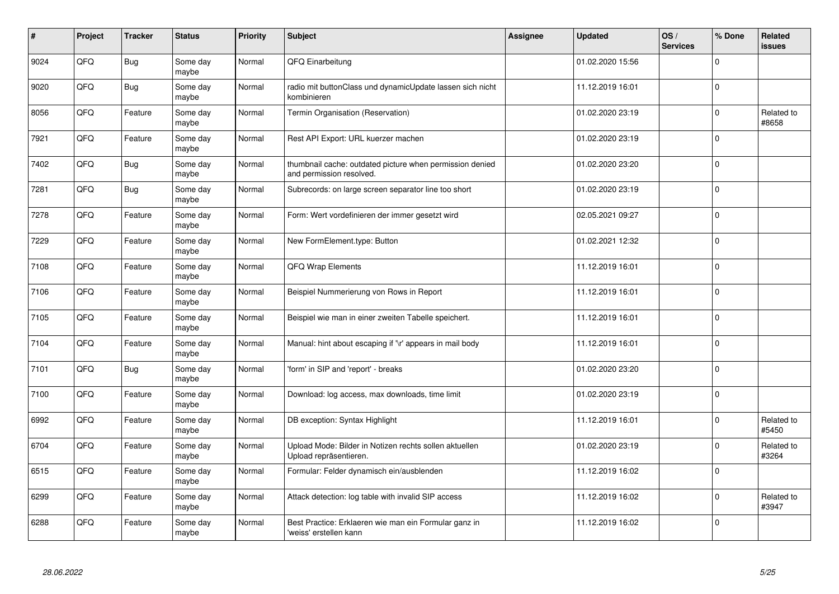| #    | Project | <b>Tracker</b> | <b>Status</b>     | <b>Priority</b> | <b>Subject</b>                                                                       | <b>Assignee</b> | <b>Updated</b>   | OS/<br><b>Services</b> | % Done      | Related<br><b>issues</b> |
|------|---------|----------------|-------------------|-----------------|--------------------------------------------------------------------------------------|-----------------|------------------|------------------------|-------------|--------------------------|
| 9024 | QFQ     | <b>Bug</b>     | Some day<br>maybe | Normal          | QFQ Einarbeitung                                                                     |                 | 01.02.2020 15:56 |                        | $\Omega$    |                          |
| 9020 | QFQ     | <b>Bug</b>     | Some day<br>maybe | Normal          | radio mit buttonClass und dynamicUpdate lassen sich nicht<br>kombinieren             |                 | 11.12.2019 16:01 |                        | $\Omega$    |                          |
| 8056 | QFQ     | Feature        | Some day<br>maybe | Normal          | Termin Organisation (Reservation)                                                    |                 | 01.02.2020 23:19 |                        | 0           | Related to<br>#8658      |
| 7921 | QFQ     | Feature        | Some day<br>maybe | Normal          | Rest API Export: URL kuerzer machen                                                  |                 | 01.02.2020 23:19 |                        | $\Omega$    |                          |
| 7402 | QFQ     | <b>Bug</b>     | Some day<br>maybe | Normal          | thumbnail cache: outdated picture when permission denied<br>and permission resolved. |                 | 01.02.2020 23:20 |                        | $\Omega$    |                          |
| 7281 | QFQ     | <b>Bug</b>     | Some day<br>maybe | Normal          | Subrecords: on large screen separator line too short                                 |                 | 01.02.2020 23:19 |                        | $\mathbf 0$ |                          |
| 7278 | QFQ     | Feature        | Some day<br>maybe | Normal          | Form: Wert vordefinieren der immer gesetzt wird                                      |                 | 02.05.2021 09:27 |                        | $\Omega$    |                          |
| 7229 | QFQ     | Feature        | Some day<br>maybe | Normal          | New FormElement.type: Button                                                         |                 | 01.02.2021 12:32 |                        | $\Omega$    |                          |
| 7108 | QFQ     | Feature        | Some day<br>maybe | Normal          | QFQ Wrap Elements                                                                    |                 | 11.12.2019 16:01 |                        | $\Omega$    |                          |
| 7106 | QFQ     | Feature        | Some day<br>maybe | Normal          | Beispiel Nummerierung von Rows in Report                                             |                 | 11.12.2019 16:01 |                        | 0           |                          |
| 7105 | QFQ     | Feature        | Some day<br>maybe | Normal          | Beispiel wie man in einer zweiten Tabelle speichert.                                 |                 | 11.12.2019 16:01 |                        | $\Omega$    |                          |
| 7104 | QFQ     | Feature        | Some day<br>maybe | Normal          | Manual: hint about escaping if '\r' appears in mail body                             |                 | 11.12.2019 16:01 |                        | $\Omega$    |                          |
| 7101 | QFQ     | Bug            | Some day<br>maybe | Normal          | 'form' in SIP and 'report' - breaks                                                  |                 | 01.02.2020 23:20 |                        | $\mathbf 0$ |                          |
| 7100 | QFQ     | Feature        | Some day<br>maybe | Normal          | Download: log access, max downloads, time limit                                      |                 | 01.02.2020 23:19 |                        | $\Omega$    |                          |
| 6992 | QFQ     | Feature        | Some day<br>maybe | Normal          | DB exception: Syntax Highlight                                                       |                 | 11.12.2019 16:01 |                        | $\Omega$    | Related to<br>#5450      |
| 6704 | QFQ     | Feature        | Some day<br>maybe | Normal          | Upload Mode: Bilder in Notizen rechts sollen aktuellen<br>Upload repräsentieren.     |                 | 01.02.2020 23:19 |                        | $\Omega$    | Related to<br>#3264      |
| 6515 | QFQ     | Feature        | Some day<br>maybe | Normal          | Formular: Felder dynamisch ein/ausblenden                                            |                 | 11.12.2019 16:02 |                        | $\Omega$    |                          |
| 6299 | QFQ     | Feature        | Some day<br>maybe | Normal          | Attack detection: log table with invalid SIP access                                  |                 | 11.12.2019 16:02 |                        | $\Omega$    | Related to<br>#3947      |
| 6288 | QFQ     | Feature        | Some day<br>maybe | Normal          | Best Practice: Erklaeren wie man ein Formular ganz in<br>'weiss' erstellen kann      |                 | 11.12.2019 16:02 |                        | $\Omega$    |                          |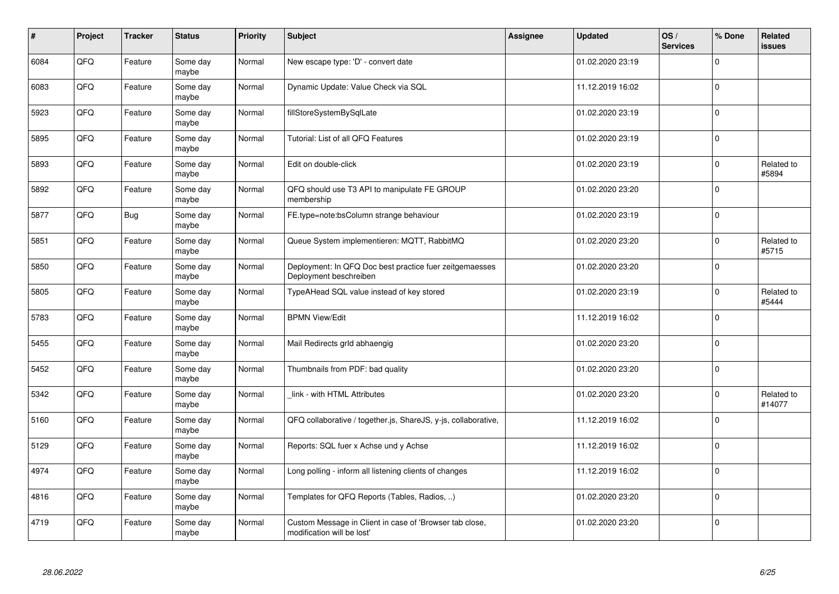| $\pmb{\#}$ | Project | <b>Tracker</b> | <b>Status</b>     | <b>Priority</b> | <b>Subject</b>                                                                        | Assignee | <b>Updated</b>   | OS/<br><b>Services</b> | % Done      | Related<br>issues    |
|------------|---------|----------------|-------------------|-----------------|---------------------------------------------------------------------------------------|----------|------------------|------------------------|-------------|----------------------|
| 6084       | QFQ     | Feature        | Some day<br>maybe | Normal          | New escape type: 'D' - convert date                                                   |          | 01.02.2020 23:19 |                        | $\Omega$    |                      |
| 6083       | QFQ     | Feature        | Some day<br>maybe | Normal          | Dynamic Update: Value Check via SQL                                                   |          | 11.12.2019 16:02 |                        | $\Omega$    |                      |
| 5923       | QFQ     | Feature        | Some day<br>maybe | Normal          | fillStoreSystemBySqlLate                                                              |          | 01.02.2020 23:19 |                        | $\Omega$    |                      |
| 5895       | QFQ     | Feature        | Some day<br>maybe | Normal          | Tutorial: List of all QFQ Features                                                    |          | 01.02.2020 23:19 |                        | $\Omega$    |                      |
| 5893       | QFQ     | Feature        | Some day<br>maybe | Normal          | Edit on double-click                                                                  |          | 01.02.2020 23:19 |                        | $\Omega$    | Related to<br>#5894  |
| 5892       | QFQ     | Feature        | Some day<br>maybe | Normal          | QFQ should use T3 API to manipulate FE GROUP<br>membership                            |          | 01.02.2020 23:20 |                        | $\Omega$    |                      |
| 5877       | QFQ     | <b>Bug</b>     | Some day<br>maybe | Normal          | FE.type=note:bsColumn strange behaviour                                               |          | 01.02.2020 23:19 |                        | $\Omega$    |                      |
| 5851       | QFQ     | Feature        | Some day<br>maybe | Normal          | Queue System implementieren: MQTT, RabbitMQ                                           |          | 01.02.2020 23:20 |                        | $\Omega$    | Related to<br>#5715  |
| 5850       | QFQ     | Feature        | Some day<br>maybe | Normal          | Deployment: In QFQ Doc best practice fuer zeitgemaesses<br>Deployment beschreiben     |          | 01.02.2020 23:20 |                        | $\Omega$    |                      |
| 5805       | QFQ     | Feature        | Some day<br>maybe | Normal          | TypeAHead SQL value instead of key stored                                             |          | 01.02.2020 23:19 |                        | $\Omega$    | Related to<br>#5444  |
| 5783       | QFQ     | Feature        | Some day<br>maybe | Normal          | <b>BPMN View/Edit</b>                                                                 |          | 11.12.2019 16:02 |                        | 0           |                      |
| 5455       | QFQ     | Feature        | Some day<br>maybe | Normal          | Mail Redirects grld abhaengig                                                         |          | 01.02.2020 23:20 |                        | $\mathbf 0$ |                      |
| 5452       | QFQ     | Feature        | Some day<br>maybe | Normal          | Thumbnails from PDF: bad quality                                                      |          | 01.02.2020 23:20 |                        | 0           |                      |
| 5342       | QFQ     | Feature        | Some day<br>maybe | Normal          | link - with HTML Attributes                                                           |          | 01.02.2020 23:20 |                        | $\mathbf 0$ | Related to<br>#14077 |
| 5160       | QFQ     | Feature        | Some day<br>maybe | Normal          | QFQ collaborative / together.js, ShareJS, y-js, collaborative,                        |          | 11.12.2019 16:02 |                        | $\Omega$    |                      |
| 5129       | QFQ     | Feature        | Some day<br>maybe | Normal          | Reports: SQL fuer x Achse und y Achse                                                 |          | 11.12.2019 16:02 |                        | $\Omega$    |                      |
| 4974       | QFQ     | Feature        | Some day<br>maybe | Normal          | Long polling - inform all listening clients of changes                                |          | 11.12.2019 16:02 |                        | $\Omega$    |                      |
| 4816       | QFQ     | Feature        | Some day<br>maybe | Normal          | Templates for QFQ Reports (Tables, Radios, )                                          |          | 01.02.2020 23:20 |                        | 0           |                      |
| 4719       | QFQ     | Feature        | Some day<br>maybe | Normal          | Custom Message in Client in case of 'Browser tab close,<br>modification will be lost' |          | 01.02.2020 23:20 |                        | $\Omega$    |                      |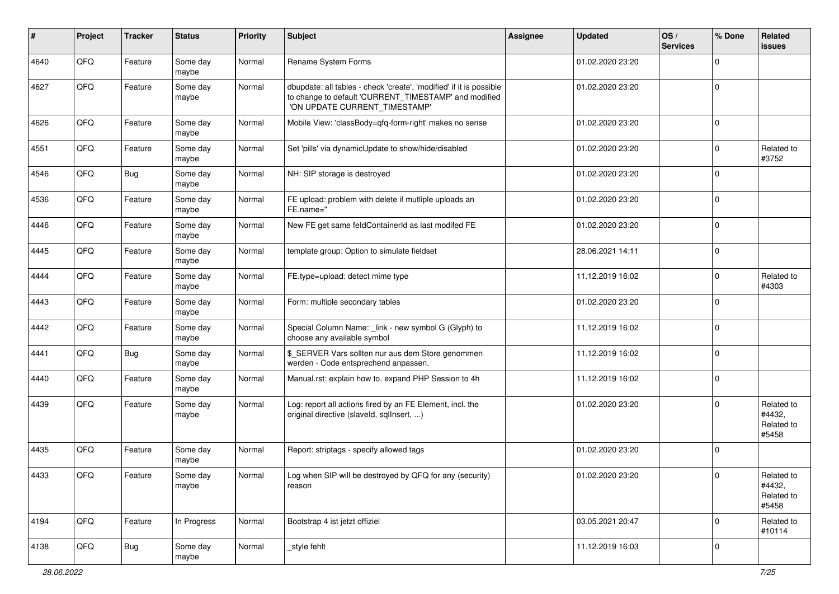| #    | Project | <b>Tracker</b> | <b>Status</b>     | <b>Priority</b> | Subject                                                                                                                                                       | <b>Assignee</b> | <b>Updated</b>   | OS/<br><b>Services</b> | % Done      | Related<br><b>issues</b>                    |
|------|---------|----------------|-------------------|-----------------|---------------------------------------------------------------------------------------------------------------------------------------------------------------|-----------------|------------------|------------------------|-------------|---------------------------------------------|
| 4640 | QFQ     | Feature        | Some day<br>maybe | Normal          | Rename System Forms                                                                                                                                           |                 | 01.02.2020 23:20 |                        | $\mathbf 0$ |                                             |
| 4627 | QFQ     | Feature        | Some day<br>maybe | Normal          | dbupdate: all tables - check 'create', 'modified' if it is possible<br>to change to default 'CURRENT_TIMESTAMP' and modified<br>'ON UPDATE CURRENT_TIMESTAMP' |                 | 01.02.2020 23:20 |                        | $\mathbf 0$ |                                             |
| 4626 | QFQ     | Feature        | Some day<br>maybe | Normal          | Mobile View: 'classBody=qfq-form-right' makes no sense                                                                                                        |                 | 01.02.2020 23:20 |                        | $\mathbf 0$ |                                             |
| 4551 | QFQ     | Feature        | Some day<br>maybe | Normal          | Set 'pills' via dynamicUpdate to show/hide/disabled                                                                                                           |                 | 01.02.2020 23:20 |                        | $\mathbf 0$ | Related to<br>#3752                         |
| 4546 | QFQ     | Bug            | Some day<br>maybe | Normal          | NH: SIP storage is destroyed                                                                                                                                  |                 | 01.02.2020 23:20 |                        | $\mathbf 0$ |                                             |
| 4536 | QFQ     | Feature        | Some day<br>maybe | Normal          | FE upload: problem with delete if mutliple uploads an<br>FE.name="                                                                                            |                 | 01.02.2020 23:20 |                        | $\mathbf 0$ |                                             |
| 4446 | QFQ     | Feature        | Some day<br>maybe | Normal          | New FE get same feldContainerId as last modifed FE                                                                                                            |                 | 01.02.2020 23:20 |                        | $\mathbf 0$ |                                             |
| 4445 | QFQ     | Feature        | Some day<br>maybe | Normal          | template group: Option to simulate fieldset                                                                                                                   |                 | 28.06.2021 14:11 |                        | $\mathbf 0$ |                                             |
| 4444 | QFQ     | Feature        | Some day<br>maybe | Normal          | FE.type=upload: detect mime type                                                                                                                              |                 | 11.12.2019 16:02 |                        | $\mathbf 0$ | Related to<br>#4303                         |
| 4443 | QFQ     | Feature        | Some day<br>maybe | Normal          | Form: multiple secondary tables                                                                                                                               |                 | 01.02.2020 23:20 |                        | $\mathbf 0$ |                                             |
| 4442 | QFQ     | Feature        | Some day<br>maybe | Normal          | Special Column Name: _link - new symbol G (Glyph) to<br>choose any available symbol                                                                           |                 | 11.12.2019 16:02 |                        | $\mathbf 0$ |                                             |
| 4441 | QFQ     | Bug            | Some day<br>maybe | Normal          | \$_SERVER Vars sollten nur aus dem Store genommen<br>werden - Code entsprechend anpassen.                                                                     |                 | 11.12.2019 16:02 |                        | $\mathbf 0$ |                                             |
| 4440 | QFQ     | Feature        | Some day<br>maybe | Normal          | Manual.rst: explain how to. expand PHP Session to 4h                                                                                                          |                 | 11.12.2019 16:02 |                        | $\mathbf 0$ |                                             |
| 4439 | QFQ     | Feature        | Some day<br>maybe | Normal          | Log: report all actions fired by an FE Element, incl. the<br>original directive (slaveld, sqlInsert, )                                                        |                 | 01.02.2020 23:20 |                        | $\mathbf 0$ | Related to<br>#4432,<br>Related to<br>#5458 |
| 4435 | QFQ     | Feature        | Some day<br>maybe | Normal          | Report: striptags - specify allowed tags                                                                                                                      |                 | 01.02.2020 23:20 |                        | $\mathbf 0$ |                                             |
| 4433 | QFG     | Feature        | Some day<br>maybe | Normal          | Log when SIP will be destroyed by QFQ for any (security)<br>reason                                                                                            |                 | 01.02.2020 23:20 |                        | $\pmb{0}$   | Related to<br>#4432,<br>Related to<br>#5458 |
| 4194 | QFQ     | Feature        | In Progress       | Normal          | Bootstrap 4 ist jetzt offiziel                                                                                                                                |                 | 03.05.2021 20:47 |                        | $\mathbf 0$ | Related to<br>#10114                        |
| 4138 | QFQ     | Bug            | Some day<br>maybe | Normal          | _style fehlt                                                                                                                                                  |                 | 11.12.2019 16:03 |                        | 0           |                                             |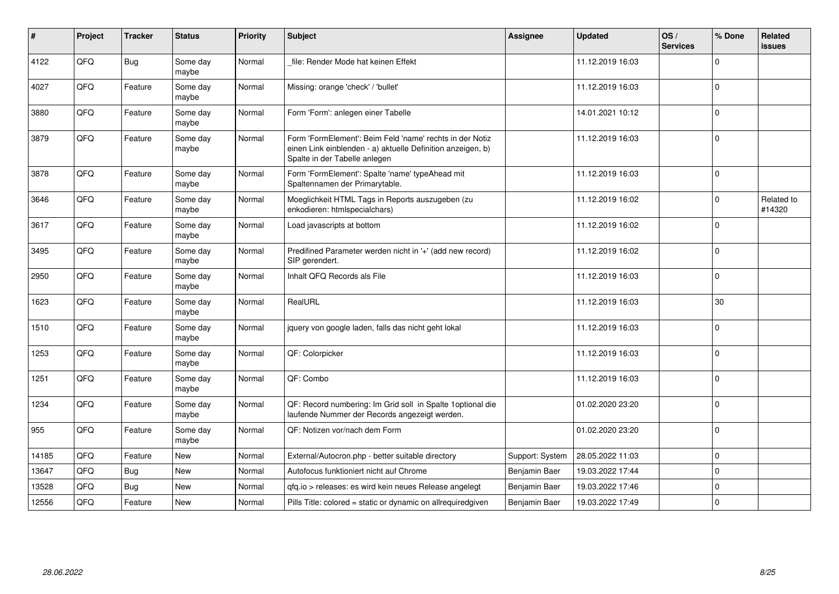| $\vert$ # | Project | <b>Tracker</b> | <b>Status</b>     | <b>Priority</b> | <b>Subject</b>                                                                                                                                           | Assignee        | <b>Updated</b>   | OS/<br><b>Services</b> | % Done       | Related<br><b>issues</b> |
|-----------|---------|----------------|-------------------|-----------------|----------------------------------------------------------------------------------------------------------------------------------------------------------|-----------------|------------------|------------------------|--------------|--------------------------|
| 4122      | QFQ     | <b>Bug</b>     | Some day<br>maybe | Normal          | file: Render Mode hat keinen Effekt                                                                                                                      |                 | 11.12.2019 16:03 |                        | <sup>0</sup> |                          |
| 4027      | QFQ     | Feature        | Some day<br>maybe | Normal          | Missing: orange 'check' / 'bullet'                                                                                                                       |                 | 11.12.2019 16:03 |                        | $\Omega$     |                          |
| 3880      | QFQ     | Feature        | Some day<br>maybe | Normal          | Form 'Form': anlegen einer Tabelle                                                                                                                       |                 | 14.01.2021 10:12 |                        | $\Omega$     |                          |
| 3879      | QFQ     | Feature        | Some day<br>maybe | Normal          | Form 'FormElement': Beim Feld 'name' rechts in der Notiz<br>einen Link einblenden - a) aktuelle Definition anzeigen, b)<br>Spalte in der Tabelle anlegen |                 | 11.12.2019 16:03 |                        | $\Omega$     |                          |
| 3878      | QFQ     | Feature        | Some day<br>maybe | Normal          | Form 'FormElement': Spalte 'name' typeAhead mit<br>Spaltennamen der Primarytable.                                                                        |                 | 11.12.2019 16:03 |                        | $\Omega$     |                          |
| 3646      | QFQ     | Feature        | Some day<br>maybe | Normal          | Moeglichkeit HTML Tags in Reports auszugeben (zu<br>enkodieren: htmlspecialchars)                                                                        |                 | 11.12.2019 16:02 |                        | $\Omega$     | Related to<br>#14320     |
| 3617      | QFQ     | Feature        | Some day<br>maybe | Normal          | Load javascripts at bottom                                                                                                                               |                 | 11.12.2019 16:02 |                        | $\Omega$     |                          |
| 3495      | QFQ     | Feature        | Some day<br>maybe | Normal          | Predifined Parameter werden nicht in '+' (add new record)<br>SIP gerendert.                                                                              |                 | 11.12.2019 16:02 |                        | $\Omega$     |                          |
| 2950      | QFQ     | Feature        | Some day<br>maybe | Normal          | Inhalt QFQ Records als File                                                                                                                              |                 | 11.12.2019 16:03 |                        | $\Omega$     |                          |
| 1623      | QFQ     | Feature        | Some day<br>maybe | Normal          | RealURL                                                                                                                                                  |                 | 11.12.2019 16:03 |                        | 30           |                          |
| 1510      | QFQ     | Feature        | Some day<br>maybe | Normal          | jquery von google laden, falls das nicht geht lokal                                                                                                      |                 | 11.12.2019 16:03 |                        | $\Omega$     |                          |
| 1253      | QFQ     | Feature        | Some day<br>maybe | Normal          | QF: Colorpicker                                                                                                                                          |                 | 11.12.2019 16:03 |                        | $\mathbf 0$  |                          |
| 1251      | QFQ     | Feature        | Some day<br>maybe | Normal          | QF: Combo                                                                                                                                                |                 | 11.12.2019 16:03 |                        | 0            |                          |
| 1234      | QFQ     | Feature        | Some day<br>maybe | Normal          | QF: Record numbering: Im Grid soll in Spalte 1 optional die<br>laufende Nummer der Records angezeigt werden.                                             |                 | 01.02.2020 23:20 |                        | $\Omega$     |                          |
| 955       | QFQ     | Feature        | Some day<br>maybe | Normal          | QF: Notizen vor/nach dem Form                                                                                                                            |                 | 01.02.2020 23:20 |                        | $\Omega$     |                          |
| 14185     | QFQ     | Feature        | New               | Normal          | External/Autocron.php - better suitable directory                                                                                                        | Support: System | 28.05.2022 11:03 |                        | $\Omega$     |                          |
| 13647     | QFQ     | <b>Bug</b>     | New               | Normal          | Autofocus funktioniert nicht auf Chrome                                                                                                                  | Benjamin Baer   | 19.03.2022 17:44 |                        | $\Omega$     |                          |
| 13528     | QFQ     | <b>Bug</b>     | New               | Normal          | qfq.io > releases: es wird kein neues Release angelegt                                                                                                   | Benjamin Baer   | 19.03.2022 17:46 |                        | $\Omega$     |                          |
| 12556     | QFQ     | Feature        | <b>New</b>        | Normal          | Pills Title: colored = static or dynamic on allrequiredgiven                                                                                             | Benjamin Baer   | 19.03.2022 17:49 |                        | $\Omega$     |                          |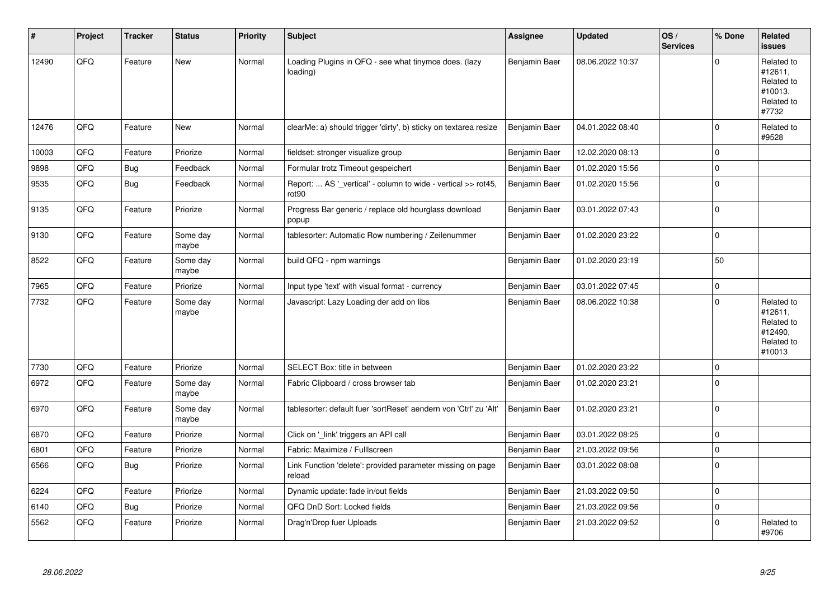| #     | Project | <b>Tracker</b> | <b>Status</b>     | <b>Priority</b> | <b>Subject</b>                                                                     | Assignee      | <b>Updated</b>   | OS/<br><b>Services</b> | % Done      | Related<br><b>issues</b>                                               |
|-------|---------|----------------|-------------------|-----------------|------------------------------------------------------------------------------------|---------------|------------------|------------------------|-------------|------------------------------------------------------------------------|
| 12490 | QFQ     | Feature        | <b>New</b>        | Normal          | Loading Plugins in QFQ - see what tinymce does. (lazy<br>loading)                  | Benjamin Baer | 08.06.2022 10:37 |                        | $\Omega$    | Related to<br>#12611,<br>Related to<br>#10013,<br>Related to<br>#7732  |
| 12476 | QFQ     | Feature        | New               | Normal          | clearMe: a) should trigger 'dirty', b) sticky on textarea resize                   | Benjamin Baer | 04.01.2022 08:40 |                        | $\mathbf 0$ | Related to<br>#9528                                                    |
| 10003 | QFQ     | Feature        | Priorize          | Normal          | fieldset: stronger visualize group                                                 | Benjamin Baer | 12.02.2020 08:13 |                        | $\mathbf 0$ |                                                                        |
| 9898  | QFQ     | <b>Bug</b>     | Feedback          | Normal          | Formular trotz Timeout gespeichert                                                 | Benjamin Baer | 01.02.2020 15:56 |                        | $\mathbf 0$ |                                                                        |
| 9535  | QFQ     | <b>Bug</b>     | Feedback          | Normal          | Report:  AS '_vertical' - column to wide - vertical >> rot45,<br>rot <sub>90</sub> | Benjamin Baer | 01.02.2020 15:56 |                        | $\mathbf 0$ |                                                                        |
| 9135  | QFQ     | Feature        | Priorize          | Normal          | Progress Bar generic / replace old hourglass download<br>popup                     | Benjamin Baer | 03.01.2022 07:43 |                        | $\mathbf 0$ |                                                                        |
| 9130  | QFQ     | Feature        | Some day<br>maybe | Normal          | tablesorter: Automatic Row numbering / Zeilenummer                                 | Benjamin Baer | 01.02.2020 23:22 |                        | $\Omega$    |                                                                        |
| 8522  | QFQ     | Feature        | Some day<br>maybe | Normal          | build QFQ - npm warnings                                                           | Benjamin Baer | 01.02.2020 23:19 |                        | 50          |                                                                        |
| 7965  | QFQ     | Feature        | Priorize          | Normal          | Input type 'text' with visual format - currency                                    | Benjamin Baer | 03.01.2022 07:45 |                        | $\pmb{0}$   |                                                                        |
| 7732  | QFQ     | Feature        | Some day<br>maybe | Normal          | Javascript: Lazy Loading der add on libs                                           | Benjamin Baer | 08.06.2022 10:38 |                        | $\Omega$    | Related to<br>#12611,<br>Related to<br>#12490,<br>Related to<br>#10013 |
| 7730  | QFQ     | Feature        | Priorize          | Normal          | SELECT Box: title in between                                                       | Benjamin Baer | 01.02.2020 23:22 |                        | $\mathbf 0$ |                                                                        |
| 6972  | QFQ     | Feature        | Some day<br>maybe | Normal          | Fabric Clipboard / cross browser tab                                               | Benjamin Baer | 01.02.2020 23:21 |                        | $\mathbf 0$ |                                                                        |
| 6970  | QFQ     | Feature        | Some day<br>maybe | Normal          | tablesorter: default fuer 'sortReset' aendern von 'Ctrl' zu 'Alt'                  | Benjamin Baer | 01.02.2020 23:21 |                        | 0           |                                                                        |
| 6870  | QFQ     | Feature        | Priorize          | Normal          | Click on '_link' triggers an API call                                              | Benjamin Baer | 03.01.2022 08:25 |                        | $\mathbf 0$ |                                                                        |
| 6801  | QFQ     | Feature        | Priorize          | Normal          | Fabric: Maximize / Fulllscreen                                                     | Benjamin Baer | 21.03.2022 09:56 |                        | $\mathbf 0$ |                                                                        |
| 6566  | QFQ     | Bug            | Priorize          | Normal          | Link Function 'delete': provided parameter missing on page<br>reload               | Benjamin Baer | 03.01.2022 08:08 |                        | $\Omega$    |                                                                        |
| 6224  | QFQ     | Feature        | Priorize          | Normal          | Dynamic update: fade in/out fields                                                 | Benjamin Baer | 21.03.2022 09:50 |                        | $\mathbf 0$ |                                                                        |
| 6140  | QFQ     | <b>Bug</b>     | Priorize          | Normal          | QFQ DnD Sort: Locked fields                                                        | Benjamin Baer | 21.03.2022 09:56 |                        | $\Omega$    |                                                                        |
| 5562  | QFQ     | Feature        | Priorize          | Normal          | Drag'n'Drop fuer Uploads                                                           | Benjamin Baer | 21.03.2022 09:52 |                        | $\Omega$    | Related to<br>#9706                                                    |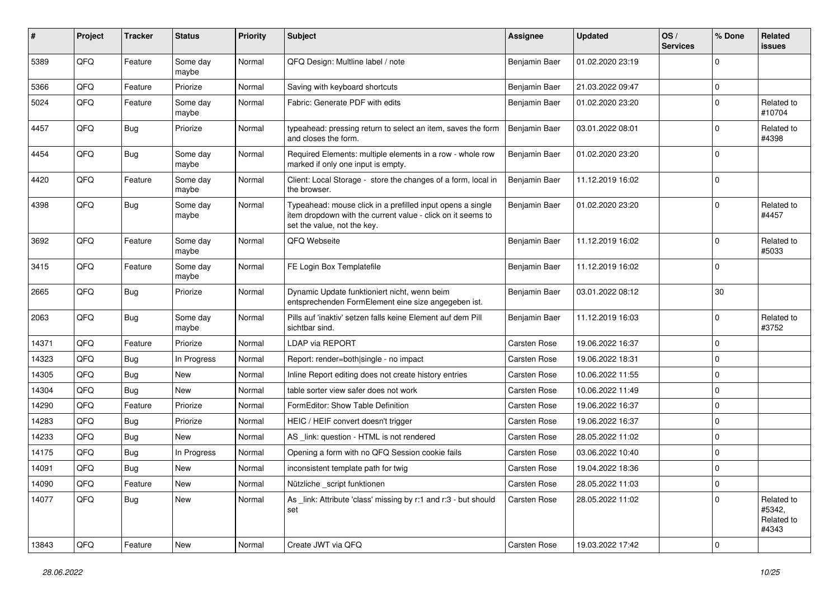| #     | Project | <b>Tracker</b> | <b>Status</b>     | <b>Priority</b> | <b>Subject</b>                                                                                                                                           | <b>Assignee</b>     | <b>Updated</b>   | OS/<br><b>Services</b> | % Done      | Related<br><b>issues</b>                    |
|-------|---------|----------------|-------------------|-----------------|----------------------------------------------------------------------------------------------------------------------------------------------------------|---------------------|------------------|------------------------|-------------|---------------------------------------------|
| 5389  | QFQ     | Feature        | Some day<br>maybe | Normal          | QFQ Design: Multline label / note                                                                                                                        | Benjamin Baer       | 01.02.2020 23:19 |                        | $\Omega$    |                                             |
| 5366  | QFQ     | Feature        | Priorize          | Normal          | Saving with keyboard shortcuts                                                                                                                           | Benjamin Baer       | 21.03.2022 09:47 |                        | $\mathbf 0$ |                                             |
| 5024  | QFQ     | Feature        | Some day<br>maybe | Normal          | Fabric: Generate PDF with edits                                                                                                                          | Benjamin Baer       | 01.02.2020 23:20 |                        | $\Omega$    | Related to<br>#10704                        |
| 4457  | QFQ     | Bug            | Priorize          | Normal          | typeahead: pressing return to select an item, saves the form<br>and closes the form.                                                                     | Benjamin Baer       | 03.01.2022 08:01 |                        | $\Omega$    | Related to<br>#4398                         |
| 4454  | QFQ     | Bug            | Some day<br>maybe | Normal          | Required Elements: multiple elements in a row - whole row<br>marked if only one input is empty.                                                          | Benjamin Baer       | 01.02.2020 23:20 |                        | $\Omega$    |                                             |
| 4420  | QFQ     | Feature        | Some day<br>maybe | Normal          | Client: Local Storage - store the changes of a form, local in<br>the browser.                                                                            | Benjamin Baer       | 11.12.2019 16:02 |                        | $\Omega$    |                                             |
| 4398  | QFQ     | Bug            | Some day<br>maybe | Normal          | Typeahead: mouse click in a prefilled input opens a single<br>item dropdown with the current value - click on it seems to<br>set the value, not the key. | Benjamin Baer       | 01.02.2020 23:20 |                        | $\Omega$    | Related to<br>#4457                         |
| 3692  | QFQ     | Feature        | Some day<br>maybe | Normal          | QFQ Webseite                                                                                                                                             | Benjamin Baer       | 11.12.2019 16:02 |                        | $\Omega$    | Related to<br>#5033                         |
| 3415  | QFQ     | Feature        | Some day<br>maybe | Normal          | FE Login Box Templatefile                                                                                                                                | Benjamin Baer       | 11.12.2019 16:02 |                        | $\Omega$    |                                             |
| 2665  | QFQ     | Bug            | Priorize          | Normal          | Dynamic Update funktioniert nicht, wenn beim<br>entsprechenden FormElement eine size angegeben ist.                                                      | Benjamin Baer       | 03.01.2022 08:12 |                        | 30          |                                             |
| 2063  | QFQ     | Bug            | Some day<br>maybe | Normal          | Pills auf 'inaktiv' setzen falls keine Element auf dem Pill<br>sichtbar sind.                                                                            | Benjamin Baer       | 11.12.2019 16:03 |                        | $\Omega$    | Related to<br>#3752                         |
| 14371 | QFQ     | Feature        | Priorize          | Normal          | LDAP via REPORT                                                                                                                                          | Carsten Rose        | 19.06.2022 16:37 |                        | $\mathbf 0$ |                                             |
| 14323 | QFQ     | <b>Bug</b>     | In Progress       | Normal          | Report: render=both single - no impact                                                                                                                   | Carsten Rose        | 19.06.2022 18:31 |                        | 0           |                                             |
| 14305 | QFQ     | <b>Bug</b>     | New               | Normal          | Inline Report editing does not create history entries                                                                                                    | Carsten Rose        | 10.06.2022 11:55 |                        | $\mathbf 0$ |                                             |
| 14304 | QFQ     | Bug            | <b>New</b>        | Normal          | table sorter view safer does not work                                                                                                                    | Carsten Rose        | 10.06.2022 11:49 |                        | $\mathbf 0$ |                                             |
| 14290 | QFQ     | Feature        | Priorize          | Normal          | FormEditor: Show Table Definition                                                                                                                        | Carsten Rose        | 19.06.2022 16:37 |                        | $\mathbf 0$ |                                             |
| 14283 | QFQ     | <b>Bug</b>     | Priorize          | Normal          | HEIC / HEIF convert doesn't trigger                                                                                                                      | Carsten Rose        | 19.06.2022 16:37 |                        | $\Omega$    |                                             |
| 14233 | QFQ     | <b>Bug</b>     | <b>New</b>        | Normal          | AS link: question - HTML is not rendered                                                                                                                 | Carsten Rose        | 28.05.2022 11:02 |                        | $\mathbf 0$ |                                             |
| 14175 | QFQ     | Bug            | In Progress       | Normal          | Opening a form with no QFQ Session cookie fails                                                                                                          | <b>Carsten Rose</b> | 03.06.2022 10:40 |                        | $\mathbf 0$ |                                             |
| 14091 | QFQ     | <b>Bug</b>     | New               | Normal          | inconsistent template path for twig                                                                                                                      | Carsten Rose        | 19.04.2022 18:36 |                        | $\mathbf 0$ |                                             |
| 14090 | QFQ     | Feature        | New               | Normal          | Nützliche _script funktionen                                                                                                                             | Carsten Rose        | 28.05.2022 11:03 |                        | 0           |                                             |
| 14077 | QFQ     | <b>Bug</b>     | New               | Normal          | As _link: Attribute 'class' missing by r:1 and r:3 - but should<br>set                                                                                   | Carsten Rose        | 28.05.2022 11:02 |                        | $\mathbf 0$ | Related to<br>#5342,<br>Related to<br>#4343 |
| 13843 | QFQ     | Feature        | New               | Normal          | Create JWT via QFQ                                                                                                                                       | Carsten Rose        | 19.03.2022 17:42 |                        | 0           |                                             |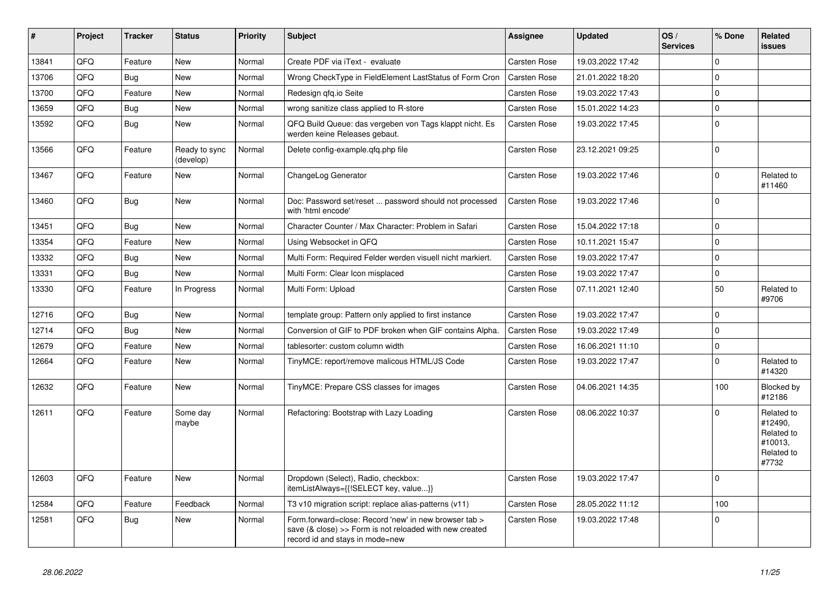| #     | <b>Project</b> | <b>Tracker</b> | <b>Status</b>              | <b>Priority</b> | <b>Subject</b>                                                                                                                                      | Assignee            | <b>Updated</b>   | OS/<br><b>Services</b> | % Done       | Related<br>issues                                                     |
|-------|----------------|----------------|----------------------------|-----------------|-----------------------------------------------------------------------------------------------------------------------------------------------------|---------------------|------------------|------------------------|--------------|-----------------------------------------------------------------------|
| 13841 | QFQ            | Feature        | <b>New</b>                 | Normal          | Create PDF via iText - evaluate                                                                                                                     | Carsten Rose        | 19.03.2022 17:42 |                        | $\Omega$     |                                                                       |
| 13706 | QFQ            | <b>Bug</b>     | <b>New</b>                 | Normal          | Wrong CheckType in FieldElement LastStatus of Form Cron                                                                                             | Carsten Rose        | 21.01.2022 18:20 |                        | $\Omega$     |                                                                       |
| 13700 | QFQ            | Feature        | <b>New</b>                 | Normal          | Redesign gfg.io Seite                                                                                                                               | Carsten Rose        | 19.03.2022 17:43 |                        | $\Omega$     |                                                                       |
| 13659 | QFQ            | Bug            | <b>New</b>                 | Normal          | wrong sanitize class applied to R-store                                                                                                             | <b>Carsten Rose</b> | 15.01.2022 14:23 |                        | $\Omega$     |                                                                       |
| 13592 | QFQ            | <b>Bug</b>     | New                        | Normal          | QFQ Build Queue: das vergeben von Tags klappt nicht. Es<br>werden keine Releases gebaut.                                                            | Carsten Rose        | 19.03.2022 17:45 |                        | $\Omega$     |                                                                       |
| 13566 | QFQ            | Feature        | Ready to sync<br>(develop) | Normal          | Delete config-example.qfq.php file                                                                                                                  | Carsten Rose        | 23.12.2021 09:25 |                        | $\Omega$     |                                                                       |
| 13467 | QFQ            | Feature        | <b>New</b>                 | Normal          | ChangeLog Generator                                                                                                                                 | Carsten Rose        | 19.03.2022 17:46 |                        | $\Omega$     | Related to<br>#11460                                                  |
| 13460 | QFQ            | <b>Bug</b>     | <b>New</b>                 | Normal          | Doc: Password set/reset  password should not processed<br>with 'html encode'                                                                        | <b>Carsten Rose</b> | 19.03.2022 17:46 |                        | $\Omega$     |                                                                       |
| 13451 | QFQ            | Bug            | New                        | Normal          | Character Counter / Max Character: Problem in Safari                                                                                                | Carsten Rose        | 15.04.2022 17:18 |                        | $\Omega$     |                                                                       |
| 13354 | QFQ            | Feature        | <b>New</b>                 | Normal          | Using Websocket in QFQ                                                                                                                              | <b>Carsten Rose</b> | 10.11.2021 15:47 |                        | $\Omega$     |                                                                       |
| 13332 | QFQ            | <b>Bug</b>     | <b>New</b>                 | Normal          | Multi Form: Required Felder werden visuell nicht markiert.                                                                                          | Carsten Rose        | 19.03.2022 17:47 |                        | $\Omega$     |                                                                       |
| 13331 | QFQ            | <b>Bug</b>     | <b>New</b>                 | Normal          | Multi Form: Clear Icon misplaced                                                                                                                    | <b>Carsten Rose</b> | 19.03.2022 17:47 |                        | $\Omega$     |                                                                       |
| 13330 | QFQ            | Feature        | In Progress                | Normal          | Multi Form: Upload                                                                                                                                  | Carsten Rose        | 07.11.2021 12:40 |                        | 50           | Related to<br>#9706                                                   |
| 12716 | QFQ            | <b>Bug</b>     | <b>New</b>                 | Normal          | template group: Pattern only applied to first instance                                                                                              | <b>Carsten Rose</b> | 19.03.2022 17:47 |                        | $\Omega$     |                                                                       |
| 12714 | QFQ            | <b>Bug</b>     | <b>New</b>                 | Normal          | Conversion of GIF to PDF broken when GIF contains Alpha.                                                                                            | Carsten Rose        | 19.03.2022 17:49 |                        | $\Omega$     |                                                                       |
| 12679 | QFQ            | Feature        | <b>New</b>                 | Normal          | tablesorter: custom column width                                                                                                                    | Carsten Rose        | 16.06.2021 11:10 |                        | $\Omega$     |                                                                       |
| 12664 | QFQ            | Feature        | <b>New</b>                 | Normal          | TinyMCE: report/remove malicous HTML/JS Code                                                                                                        | Carsten Rose        | 19.03.2022 17:47 |                        | <sup>n</sup> | Related to<br>#14320                                                  |
| 12632 | QFQ            | Feature        | <b>New</b>                 | Normal          | TinyMCE: Prepare CSS classes for images                                                                                                             | Carsten Rose        | 04.06.2021 14:35 |                        | 100          | Blocked by<br>#12186                                                  |
| 12611 | QFQ            | Feature        | Some day<br>maybe          | Normal          | Refactoring: Bootstrap with Lazy Loading                                                                                                            | Carsten Rose        | 08.06.2022 10:37 |                        | $\Omega$     | Related to<br>#12490,<br>Related to<br>#10013.<br>Related to<br>#7732 |
| 12603 | QFQ            | Feature        | <b>New</b>                 | Normal          | Dropdown (Select), Radio, checkbox:<br>itemListAlways={{!SELECT key, value}}                                                                        | <b>Carsten Rose</b> | 19.03.2022 17:47 |                        | $\Omega$     |                                                                       |
| 12584 | QFQ            | Feature        | Feedback                   | Normal          | T3 v10 migration script: replace alias-patterns (v11)                                                                                               | Carsten Rose        | 28.05.2022 11:12 |                        | 100          |                                                                       |
| 12581 | QFQ            | Bug            | <b>New</b>                 | Normal          | Form.forward=close: Record 'new' in new browser tab ><br>save (& close) >> Form is not reloaded with new created<br>record id and stays in mode=new | Carsten Rose        | 19.03.2022 17:48 |                        | $\Omega$     |                                                                       |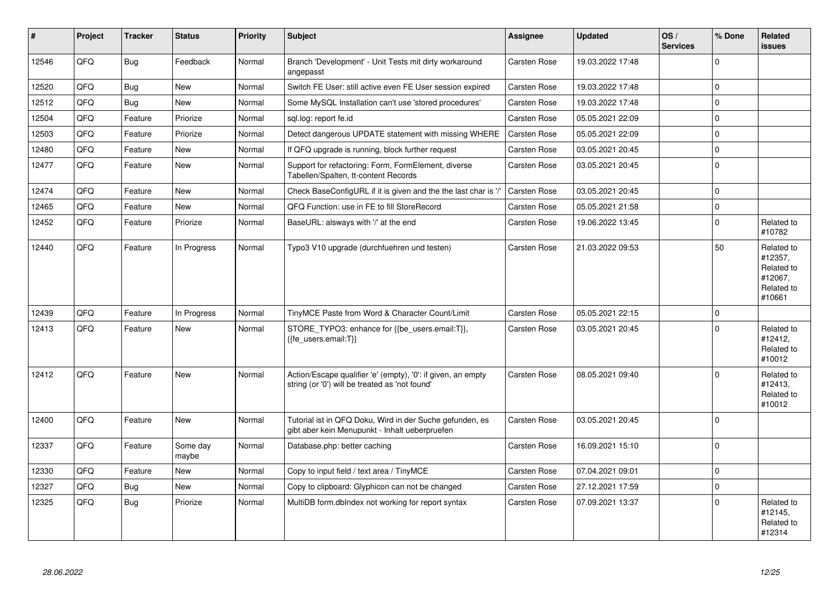| #     | Project | <b>Tracker</b> | <b>Status</b>     | <b>Priority</b> | <b>Subject</b>                                                                                                 | Assignee            | Updated          | OS/<br><b>Services</b> | % Done         | Related<br>issues                                                      |
|-------|---------|----------------|-------------------|-----------------|----------------------------------------------------------------------------------------------------------------|---------------------|------------------|------------------------|----------------|------------------------------------------------------------------------|
| 12546 | QFQ     | Bug            | Feedback          | Normal          | Branch 'Development' - Unit Tests mit dirty workaround<br>angepasst                                            | Carsten Rose        | 19.03.2022 17:48 |                        | $\Omega$       |                                                                        |
| 12520 | QFQ     | <b>Bug</b>     | <b>New</b>        | Normal          | Switch FE User: still active even FE User session expired                                                      | <b>Carsten Rose</b> | 19.03.2022 17:48 |                        | $\Omega$       |                                                                        |
| 12512 | QFQ     | Bug            | New               | Normal          | Some MySQL Installation can't use 'stored procedures'                                                          | Carsten Rose        | 19.03.2022 17:48 |                        | $\Omega$       |                                                                        |
| 12504 | QFQ     | Feature        | Priorize          | Normal          | sgl.log: report fe.id                                                                                          | Carsten Rose        | 05.05.2021 22:09 |                        | $\mathbf 0$    |                                                                        |
| 12503 | QFQ     | Feature        | Priorize          | Normal          | Detect dangerous UPDATE statement with missing WHERE                                                           | Carsten Rose        | 05.05.2021 22:09 |                        | $\Omega$       |                                                                        |
| 12480 | QFQ     | Feature        | <b>New</b>        | Normal          | If QFQ upgrade is running, block further request                                                               | Carsten Rose        | 03.05.2021 20:45 |                        | $\overline{0}$ |                                                                        |
| 12477 | QFQ     | Feature        | New               | Normal          | Support for refactoring: Form, FormElement, diverse<br>Tabellen/Spalten, tt-content Records                    | <b>Carsten Rose</b> | 03.05.2021 20:45 |                        | $\overline{0}$ |                                                                        |
| 12474 | QFQ     | Feature        | <b>New</b>        | Normal          | Check BaseConfigURL if it is given and the the last char is '/'                                                | Carsten Rose        | 03.05.2021 20:45 |                        | $\overline{0}$ |                                                                        |
| 12465 | QFQ     | Feature        | New               | Normal          | QFQ Function: use in FE to fill StoreRecord                                                                    | Carsten Rose        | 05.05.2021 21:58 |                        | $\mathbf 0$    |                                                                        |
| 12452 | QFQ     | Feature        | Priorize          | Normal          | BaseURL: alsways with '/' at the end                                                                           | <b>Carsten Rose</b> | 19.06.2022 13:45 |                        | $\Omega$       | Related to<br>#10782                                                   |
| 12440 | QFQ     | Feature        | In Progress       | Normal          | Typo3 V10 upgrade (durchfuehren und testen)                                                                    | <b>Carsten Rose</b> | 21.03.2022 09:53 |                        | 50             | Related to<br>#12357,<br>Related to<br>#12067.<br>Related to<br>#10661 |
| 12439 | QFQ     | Feature        | In Progress       | Normal          | TinyMCE Paste from Word & Character Count/Limit                                                                | <b>Carsten Rose</b> | 05.05.2021 22:15 |                        | $\overline{0}$ |                                                                        |
| 12413 | QFQ     | Feature        | New               | Normal          | STORE_TYPO3: enhance for {{be_users.email:T}},<br>{{fe users.email:T}}                                         | <b>Carsten Rose</b> | 03.05.2021 20:45 |                        | $\Omega$       | Related to<br>#12412,<br>Related to<br>#10012                          |
| 12412 | QFQ     | Feature        | <b>New</b>        | Normal          | Action/Escape qualifier 'e' (empty), '0': if given, an empty<br>string (or '0') will be treated as 'not found' | Carsten Rose        | 08.05.2021 09:40 |                        | $\Omega$       | Related to<br>#12413,<br>Related to<br>#10012                          |
| 12400 | QFQ     | Feature        | <b>New</b>        | Normal          | Tutorial ist in QFQ Doku, Wird in der Suche gefunden, es<br>gibt aber kein Menupunkt - Inhalt ueberpruefen     | Carsten Rose        | 03.05.2021 20:45 |                        | $\overline{0}$ |                                                                        |
| 12337 | QFQ     | Feature        | Some day<br>maybe | Normal          | Database.php: better caching                                                                                   | Carsten Rose        | 16.09.2021 15:10 |                        | $\Omega$       |                                                                        |
| 12330 | QFQ     | Feature        | New               | Normal          | Copy to input field / text area / TinyMCE                                                                      | <b>Carsten Rose</b> | 07.04.2021 09:01 |                        | $\overline{0}$ |                                                                        |
| 12327 | QFQ     | Bug            | <b>New</b>        | Normal          | Copy to clipboard: Glyphicon can not be changed                                                                | <b>Carsten Rose</b> | 27.12.2021 17:59 |                        | $\Omega$       |                                                                        |
| 12325 | QFQ     | Bug            | Priorize          | Normal          | MultiDB form.dblndex not working for report syntax                                                             | Carsten Rose        | 07.09.2021 13:37 |                        | $\Omega$       | Related to<br>#12145,<br>Related to<br>#12314                          |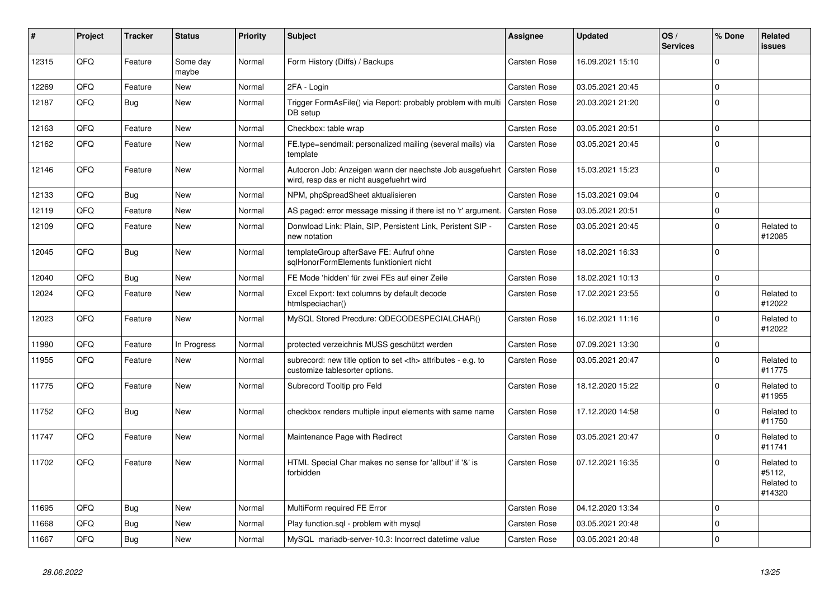| #     | Project | <b>Tracker</b> | <b>Status</b>     | <b>Priority</b> | <b>Subject</b>                                                                                       | Assignee                                               | <b>Updated</b>   | OS/<br><b>Services</b> | % Done   | Related<br>issues                            |                      |
|-------|---------|----------------|-------------------|-----------------|------------------------------------------------------------------------------------------------------|--------------------------------------------------------|------------------|------------------------|----------|----------------------------------------------|----------------------|
| 12315 | QFQ     | Feature        | Some day<br>maybe | Normal          | Form History (Diffs) / Backups                                                                       | Carsten Rose                                           | 16.09.2021 15:10 |                        | $\Omega$ |                                              |                      |
| 12269 | QFQ     | Feature        | <b>New</b>        | Normal          | 2FA - Login                                                                                          | <b>Carsten Rose</b>                                    | 03.05.2021 20:45 |                        | $\Omega$ |                                              |                      |
| 12187 | QFQ     | Bug            | <b>New</b>        | Normal          | Trigger FormAsFile() via Report: probably problem with multi<br>DB setup                             | <b>Carsten Rose</b>                                    | 20.03.2021 21:20 |                        | $\Omega$ |                                              |                      |
| 12163 | QFQ     | Feature        | <b>New</b>        | Normal          | Checkbox: table wrap                                                                                 | Carsten Rose                                           | 03.05.2021 20:51 |                        | $\Omega$ |                                              |                      |
| 12162 | QFQ     | Feature        | <b>New</b>        | Normal          | FE.type=sendmail: personalized mailing (several mails) via<br>template                               | Carsten Rose                                           | 03.05.2021 20:45 |                        | $\Omega$ |                                              |                      |
| 12146 | QFQ     | Feature        | <b>New</b>        | Normal          | Autocron Job: Anzeigen wann der naechste Job ausgefuehrt<br>wird, resp das er nicht ausgefuehrt wird | <b>Carsten Rose</b>                                    | 15.03.2021 15:23 |                        | $\Omega$ |                                              |                      |
| 12133 | QFQ     | <b>Bug</b>     | <b>New</b>        | Normal          | NPM, phpSpreadSheet aktualisieren                                                                    | Carsten Rose                                           | 15.03.2021 09:04 |                        | $\Omega$ |                                              |                      |
| 12119 | QFQ     | Feature        | <b>New</b>        | Normal          | AS paged: error message missing if there ist no 'r' argument.                                        | Carsten Rose                                           | 03.05.2021 20:51 |                        | $\Omega$ |                                              |                      |
| 12109 | QFQ     | Feature        | <b>New</b>        | Normal          | Donwload Link: Plain, SIP, Persistent Link, Peristent SIP -<br>new notation                          | Carsten Rose                                           | 03.05.2021 20:45 |                        | $\Omega$ | Related to<br>#12085                         |                      |
| 12045 | QFQ     | <b>Bug</b>     | <b>New</b>        | Normal          | templateGroup afterSave FE: Aufruf ohne<br>sqlHonorFormElements funktioniert nicht                   | Carsten Rose                                           | 18.02.2021 16:33 |                        | $\Omega$ |                                              |                      |
| 12040 | QFQ     | <b>Bug</b>     | <b>New</b>        | Normal          | FE Mode 'hidden' für zwei FEs auf einer Zeile                                                        | <b>Carsten Rose</b>                                    | 18.02.2021 10:13 |                        | $\Omega$ |                                              |                      |
| 12024 | QFQ     | Feature        | <b>New</b>        | Normal          | Excel Export: text columns by default decode<br>htmlspeciachar()                                     | Carsten Rose                                           | 17.02.2021 23:55 |                        | $\Omega$ | Related to<br>#12022                         |                      |
| 12023 | QFQ     | Feature        | New               | Normal          | MySQL Stored Precdure: QDECODESPECIALCHAR()                                                          | <b>Carsten Rose</b>                                    | 16.02.2021 11:16 |                        | $\Omega$ | Related to<br>#12022                         |                      |
| 11980 | QFQ     | Feature        | In Progress       | Normal          | protected verzeichnis MUSS geschützt werden                                                          | Carsten Rose                                           | 07.09.2021 13:30 |                        | $\Omega$ |                                              |                      |
| 11955 | QFQ     | Feature        | New               | Normal          | subrecord: new title option to set <th> attributes - e.g. to<br/>customize tablesorter options.</th> | attributes - e.g. to<br>customize tablesorter options. | Carsten Rose     | 03.05.2021 20:47       |          | $\Omega$                                     | Related to<br>#11775 |
| 11775 | QFQ     | Feature        | <b>New</b>        | Normal          | Subrecord Tooltip pro Feld                                                                           | <b>Carsten Rose</b>                                    | 18.12.2020 15:22 |                        | $\Omega$ | Related to<br>#11955                         |                      |
| 11752 | QFQ     | Bug            | <b>New</b>        | Normal          | checkbox renders multiple input elements with same name                                              | Carsten Rose                                           | 17.12.2020 14:58 |                        | $\Omega$ | Related to<br>#11750                         |                      |
| 11747 | QFQ     | Feature        | <b>New</b>        | Normal          | Maintenance Page with Redirect                                                                       | Carsten Rose                                           | 03.05.2021 20:47 |                        | $\Omega$ | Related to<br>#11741                         |                      |
| 11702 | QFQ     | Feature        | <b>New</b>        | Normal          | HTML Special Char makes no sense for 'allbut' if '&' is<br>forbidden                                 | Carsten Rose                                           | 07.12.2021 16:35 |                        | $\Omega$ | Related to<br>#5112,<br>Related to<br>#14320 |                      |
| 11695 | QFQ     | Bug            | <b>New</b>        | Normal          | MultiForm required FE Error                                                                          | Carsten Rose                                           | 04.12.2020 13:34 |                        | $\Omega$ |                                              |                      |
| 11668 | QFQ     | <b>Bug</b>     | <b>New</b>        | Normal          | Play function.sql - problem with mysql                                                               | Carsten Rose                                           | 03.05.2021 20:48 |                        | $\Omega$ |                                              |                      |
| 11667 | QFQ     | <b>Bug</b>     | New               | Normal          | MySQL mariadb-server-10.3: Incorrect datetime value                                                  | Carsten Rose                                           | 03.05.2021 20:48 |                        | $\Omega$ |                                              |                      |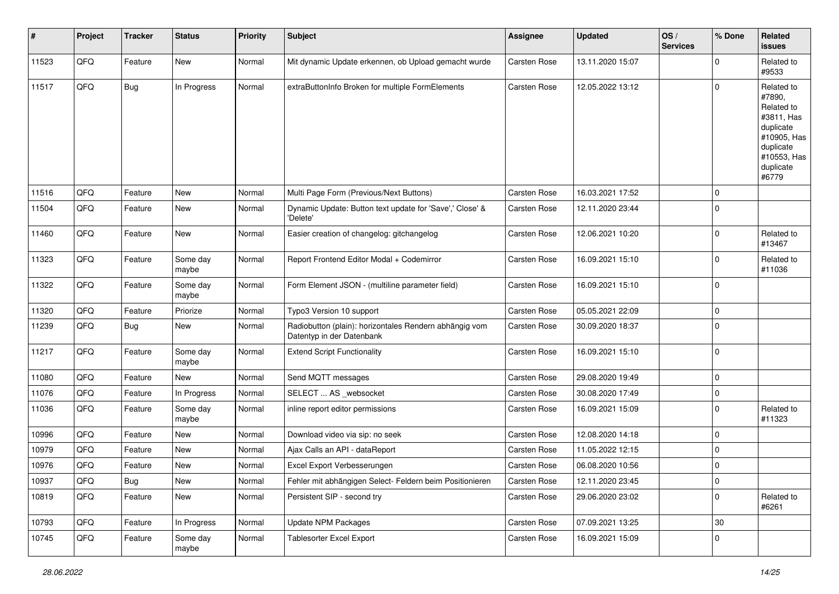| #     | Project | <b>Tracker</b> | <b>Status</b>     | <b>Priority</b> | <b>Subject</b>                                                                      | Assignee     | <b>Updated</b>   | OS/<br><b>Services</b> | % Done      | Related<br><b>issues</b>                                                                                                       |
|-------|---------|----------------|-------------------|-----------------|-------------------------------------------------------------------------------------|--------------|------------------|------------------------|-------------|--------------------------------------------------------------------------------------------------------------------------------|
| 11523 | QFQ     | Feature        | <b>New</b>        | Normal          | Mit dynamic Update erkennen, ob Upload gemacht wurde                                | Carsten Rose | 13.11.2020 15:07 |                        | $\Omega$    | Related to<br>#9533                                                                                                            |
| 11517 | QFQ     | <b>Bug</b>     | In Progress       | Normal          | extraButtonInfo Broken for multiple FormElements                                    | Carsten Rose | 12.05.2022 13:12 |                        | $\Omega$    | Related to<br>#7890,<br>Related to<br>#3811, Has<br>duplicate<br>#10905, Has<br>duplicate<br>#10553, Has<br>duplicate<br>#6779 |
| 11516 | QFQ     | Feature        | <b>New</b>        | Normal          | Multi Page Form (Previous/Next Buttons)                                             | Carsten Rose | 16.03.2021 17:52 |                        | 0           |                                                                                                                                |
| 11504 | QFQ     | Feature        | <b>New</b>        | Normal          | Dynamic Update: Button text update for 'Save',' Close' &<br>'Delete'                | Carsten Rose | 12.11.2020 23:44 |                        | $\Omega$    |                                                                                                                                |
| 11460 | QFQ     | Feature        | <b>New</b>        | Normal          | Easier creation of changelog: gitchangelog                                          | Carsten Rose | 12.06.2021 10:20 |                        | 0           | Related to<br>#13467                                                                                                           |
| 11323 | QFQ     | Feature        | Some day<br>maybe | Normal          | Report Frontend Editor Modal + Codemirror                                           | Carsten Rose | 16.09.2021 15:10 |                        | $\mathbf 0$ | Related to<br>#11036                                                                                                           |
| 11322 | QFQ     | Feature        | Some day<br>maybe | Normal          | Form Element JSON - (multiline parameter field)                                     | Carsten Rose | 16.09.2021 15:10 |                        | 0           |                                                                                                                                |
| 11320 | QFQ     | Feature        | Priorize          | Normal          | Typo3 Version 10 support                                                            | Carsten Rose | 05.05.2021 22:09 |                        | $\Omega$    |                                                                                                                                |
| 11239 | QFQ     | <b>Bug</b>     | New               | Normal          | Radiobutton (plain): horizontales Rendern abhängig vom<br>Datentyp in der Datenbank | Carsten Rose | 30.09.2020 18:37 |                        | 0           |                                                                                                                                |
| 11217 | QFQ     | Feature        | Some day<br>maybe | Normal          | <b>Extend Script Functionality</b>                                                  | Carsten Rose | 16.09.2021 15:10 |                        | $\mathbf 0$ |                                                                                                                                |
| 11080 | QFQ     | Feature        | <b>New</b>        | Normal          | Send MQTT messages                                                                  | Carsten Rose | 29.08.2020 19:49 |                        | $\mathbf 0$ |                                                                                                                                |
| 11076 | QFQ     | Feature        | In Progress       | Normal          | SELECT  AS _websocket                                                               | Carsten Rose | 30.08.2020 17:49 |                        | 0           |                                                                                                                                |
| 11036 | QFQ     | Feature        | Some day<br>maybe | Normal          | inline report editor permissions                                                    | Carsten Rose | 16.09.2021 15:09 |                        | 0           | Related to<br>#11323                                                                                                           |
| 10996 | QFQ     | Feature        | <b>New</b>        | Normal          | Download video via sip: no seek                                                     | Carsten Rose | 12.08.2020 14:18 |                        | $\mathbf 0$ |                                                                                                                                |
| 10979 | QFQ     | Feature        | <b>New</b>        | Normal          | Ajax Calls an API - dataReport                                                      | Carsten Rose | 11.05.2022 12:15 |                        | 0           |                                                                                                                                |
| 10976 | QFQ     | Feature        | New               | Normal          | Excel Export Verbesserungen                                                         | Carsten Rose | 06.08.2020 10:56 |                        | $\mathbf 0$ |                                                                                                                                |
| 10937 | QFQ     | <b>Bug</b>     | New               | Normal          | Fehler mit abhängigen Select- Feldern beim Positionieren                            | Carsten Rose | 12.11.2020 23:45 |                        | 0           |                                                                                                                                |
| 10819 | QFQ     | Feature        | New               | Normal          | Persistent SIP - second try                                                         | Carsten Rose | 29.06.2020 23:02 |                        | 0           | Related to<br>#6261                                                                                                            |
| 10793 | QFQ     | Feature        | In Progress       | Normal          | Update NPM Packages                                                                 | Carsten Rose | 07.09.2021 13:25 |                        | 30          |                                                                                                                                |
| 10745 | QFQ     | Feature        | Some day<br>maybe | Normal          | <b>Tablesorter Excel Export</b>                                                     | Carsten Rose | 16.09.2021 15:09 |                        | 0           |                                                                                                                                |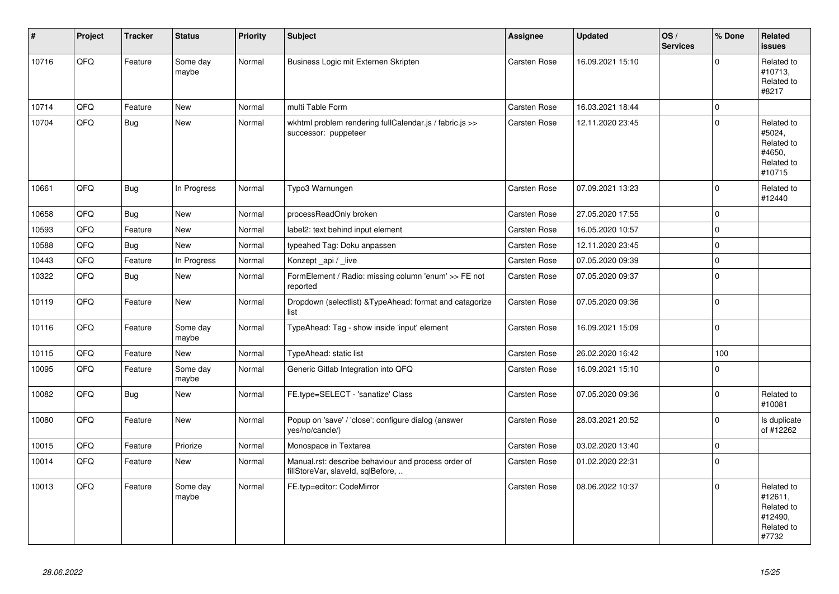| #     | Project | <b>Tracker</b> | <b>Status</b>     | <b>Priority</b> | <b>Subject</b>                                                                           | <b>Assignee</b>     | <b>Updated</b>   | OS/<br><b>Services</b> | % Done      | Related<br><b>issues</b>                                              |
|-------|---------|----------------|-------------------|-----------------|------------------------------------------------------------------------------------------|---------------------|------------------|------------------------|-------------|-----------------------------------------------------------------------|
| 10716 | QFQ     | Feature        | Some day<br>maybe | Normal          | Business Logic mit Externen Skripten                                                     | Carsten Rose        | 16.09.2021 15:10 |                        | $\mathbf 0$ | Related to<br>#10713,<br>Related to<br>#8217                          |
| 10714 | QFQ     | Feature        | New               | Normal          | multi Table Form                                                                         | Carsten Rose        | 16.03.2021 18:44 |                        | $\mathsf 0$ |                                                                       |
| 10704 | QFQ     | <b>Bug</b>     | New               | Normal          | wkhtml problem rendering fullCalendar.js / fabric.js >><br>successor: puppeteer          | <b>Carsten Rose</b> | 12.11.2020 23:45 |                        | $\mathbf 0$ | Related to<br>#5024,<br>Related to<br>#4650.<br>Related to<br>#10715  |
| 10661 | QFQ     | <b>Bug</b>     | In Progress       | Normal          | Typo3 Warnungen                                                                          | Carsten Rose        | 07.09.2021 13:23 |                        | $\Omega$    | Related to<br>#12440                                                  |
| 10658 | QFQ     | <b>Bug</b>     | <b>New</b>        | Normal          | processReadOnly broken                                                                   | Carsten Rose        | 27.05.2020 17:55 |                        | $\mathbf 0$ |                                                                       |
| 10593 | QFQ     | Feature        | New               | Normal          | label2: text behind input element                                                        | Carsten Rose        | 16.05.2020 10:57 |                        | $\mathbf 0$ |                                                                       |
| 10588 | QFQ     | <b>Bug</b>     | <b>New</b>        | Normal          | typeahed Tag: Doku anpassen                                                              | Carsten Rose        | 12.11.2020 23:45 |                        | $\mathbf 0$ |                                                                       |
| 10443 | QFQ     | Feature        | In Progress       | Normal          | Konzept_api / _live                                                                      | Carsten Rose        | 07.05.2020 09:39 |                        | $\pmb{0}$   |                                                                       |
| 10322 | QFQ     | <b>Bug</b>     | <b>New</b>        | Normal          | FormElement / Radio: missing column 'enum' >> FE not<br>reported                         | Carsten Rose        | 07.05.2020 09:37 |                        | $\mathsf 0$ |                                                                       |
| 10119 | QFQ     | Feature        | New               | Normal          | Dropdown (selectlist) & TypeAhead: format and catagorize<br>list                         | Carsten Rose        | 07.05.2020 09:36 |                        | $\mathbf 0$ |                                                                       |
| 10116 | QFQ     | Feature        | Some day<br>maybe | Normal          | TypeAhead: Tag - show inside 'input' element                                             | Carsten Rose        | 16.09.2021 15:09 |                        | $\mathbf 0$ |                                                                       |
| 10115 | QFQ     | Feature        | New               | Normal          | TypeAhead: static list                                                                   | Carsten Rose        | 26.02.2020 16:42 |                        | 100         |                                                                       |
| 10095 | QFQ     | Feature        | Some day<br>maybe | Normal          | Generic Gitlab Integration into QFQ                                                      | Carsten Rose        | 16.09.2021 15:10 |                        | $\mathbf 0$ |                                                                       |
| 10082 | QFQ     | <b>Bug</b>     | New               | Normal          | FE.type=SELECT - 'sanatize' Class                                                        | Carsten Rose        | 07.05.2020 09:36 |                        | $\Omega$    | Related to<br>#10081                                                  |
| 10080 | QFQ     | Feature        | New               | Normal          | Popup on 'save' / 'close': configure dialog (answer<br>yes/no/cancle/)                   | Carsten Rose        | 28.03.2021 20:52 |                        | $\mathbf 0$ | Is duplicate<br>of #12262                                             |
| 10015 | QFQ     | Feature        | Priorize          | Normal          | Monospace in Textarea                                                                    | Carsten Rose        | 03.02.2020 13:40 |                        | $\pmb{0}$   |                                                                       |
| 10014 | QFQ     | Feature        | <b>New</b>        | Normal          | Manual.rst: describe behaviour and process order of<br>fillStoreVar, slaveId, sqlBefore, | Carsten Rose        | 01.02.2020 22:31 |                        | $\Omega$    |                                                                       |
| 10013 | QFQ     | Feature        | Some day<br>maybe | Normal          | FE.typ=editor: CodeMirror                                                                | Carsten Rose        | 08.06.2022 10:37 |                        | $\Omega$    | Related to<br>#12611,<br>Related to<br>#12490,<br>Related to<br>#7732 |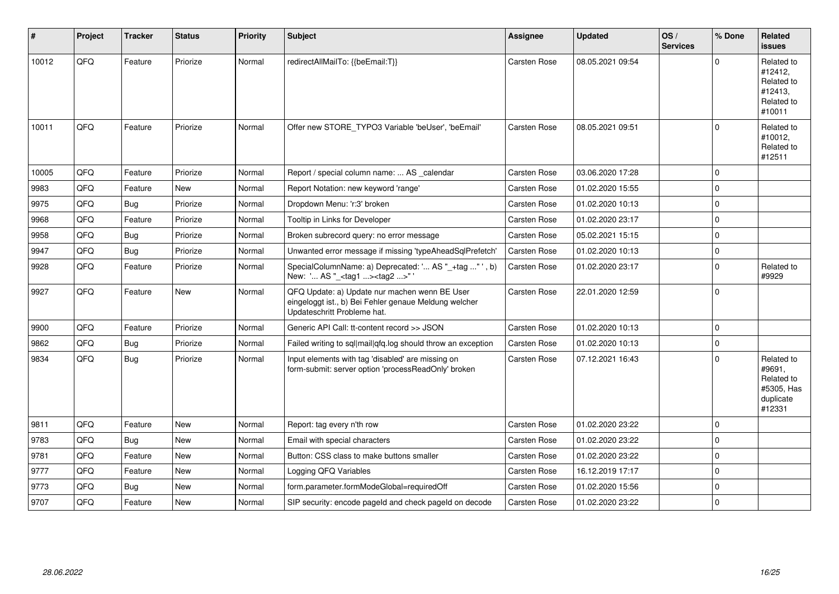| #     | Project | <b>Tracker</b> | <b>Status</b> | <b>Priority</b> | <b>Subject</b>                                                                                                                        | Assignee            | <b>Updated</b>   | OS/<br><b>Services</b> | % Done      | Related<br><b>issues</b>                                                |
|-------|---------|----------------|---------------|-----------------|---------------------------------------------------------------------------------------------------------------------------------------|---------------------|------------------|------------------------|-------------|-------------------------------------------------------------------------|
| 10012 | QFQ     | Feature        | Priorize      | Normal          | redirectAllMailTo: {{beEmail:T}}                                                                                                      | <b>Carsten Rose</b> | 08.05.2021 09:54 |                        | U           | Related to<br>#12412,<br>Related to<br>#12413,<br>Related to<br>#10011  |
| 10011 | QFQ     | Feature        | Priorize      | Normal          | Offer new STORE_TYPO3 Variable 'beUser', 'beEmail'                                                                                    | <b>Carsten Rose</b> | 08.05.2021 09:51 |                        | $\Omega$    | Related to<br>#10012,<br>Related to<br>#12511                           |
| 10005 | QFQ     | Feature        | Priorize      | Normal          | Report / special column name:  AS _calendar                                                                                           | <b>Carsten Rose</b> | 03.06.2020 17:28 |                        | $\Omega$    |                                                                         |
| 9983  | QFQ     | Feature        | <b>New</b>    | Normal          | Report Notation: new keyword 'range'                                                                                                  | <b>Carsten Rose</b> | 01.02.2020 15:55 |                        | $\Omega$    |                                                                         |
| 9975  | QFQ     | Bug            | Priorize      | Normal          | Dropdown Menu: 'r:3' broken                                                                                                           | Carsten Rose        | 01.02.2020 10:13 |                        | $\Omega$    |                                                                         |
| 9968  | QFQ     | Feature        | Priorize      | Normal          | Tooltip in Links for Developer                                                                                                        | Carsten Rose        | 01.02.2020 23:17 |                        | $\Omega$    |                                                                         |
| 9958  | QFQ     | <b>Bug</b>     | Priorize      | Normal          | Broken subrecord query: no error message                                                                                              | Carsten Rose        | 05.02.2021 15:15 |                        | $\Omega$    |                                                                         |
| 9947  | QFQ     | <b>Bug</b>     | Priorize      | Normal          | Unwanted error message if missing 'typeAheadSqlPrefetch'                                                                              | Carsten Rose        | 01.02.2020 10:13 |                        | $\Omega$    |                                                                         |
| 9928  | QFQ     | Feature        | Priorize      | Normal          | SpecialColumnName: a) Deprecated: ' AS "_+tag " ', b)<br>New: ' AS "_ <tag1><tag2>"</tag2></tag1>                                     | Carsten Rose        | 01.02.2020 23:17 |                        | $\Omega$    | Related to<br>#9929                                                     |
| 9927  | QFQ     | Feature        | New           | Normal          | QFQ Update: a) Update nur machen wenn BE User<br>eingeloggt ist., b) Bei Fehler genaue Meldung welcher<br>Updateschritt Probleme hat. | Carsten Rose        | 22.01.2020 12:59 |                        | $\Omega$    |                                                                         |
| 9900  | QFQ     | Feature        | Priorize      | Normal          | Generic API Call: tt-content record >> JSON                                                                                           | Carsten Rose        | 01.02.2020 10:13 |                        | $\mathbf 0$ |                                                                         |
| 9862  | QFQ     | <b>Bug</b>     | Priorize      | Normal          | Failed writing to sql mail qfq.log should throw an exception                                                                          | <b>Carsten Rose</b> | 01.02.2020 10:13 |                        | $\Omega$    |                                                                         |
| 9834  | QFQ     | <b>Bug</b>     | Priorize      | Normal          | Input elements with tag 'disabled' are missing on<br>form-submit: server option 'processReadOnly' broken                              | <b>Carsten Rose</b> | 07.12.2021 16:43 |                        | $\Omega$    | Related to<br>#9691,<br>Related to<br>#5305, Has<br>duplicate<br>#12331 |
| 9811  | QFQ     | Feature        | <b>New</b>    | Normal          | Report: tag every n'th row                                                                                                            | <b>Carsten Rose</b> | 01.02.2020 23:22 |                        | $\Omega$    |                                                                         |
| 9783  | QFQ     | Bug            | <b>New</b>    | Normal          | Email with special characters                                                                                                         | <b>Carsten Rose</b> | 01.02.2020 23:22 |                        | $\Omega$    |                                                                         |
| 9781  | QFQ     | Feature        | New           | Normal          | Button: CSS class to make buttons smaller                                                                                             | <b>Carsten Rose</b> | 01.02.2020 23:22 |                        | $\Omega$    |                                                                         |
| 9777  | QFQ     | Feature        | <b>New</b>    | Normal          | Logging QFQ Variables                                                                                                                 | <b>Carsten Rose</b> | 16.12.2019 17:17 |                        | $\Omega$    |                                                                         |
| 9773  | QFQ     | Bug            | <b>New</b>    | Normal          | form.parameter.formModeGlobal=requiredOff                                                                                             | Carsten Rose        | 01.02.2020 15:56 |                        | $\Omega$    |                                                                         |
| 9707  | QFQ     | Feature        | <b>New</b>    | Normal          | SIP security: encode pageld and check pageld on decode                                                                                | Carsten Rose        | 01.02.2020 23:22 |                        | $\Omega$    |                                                                         |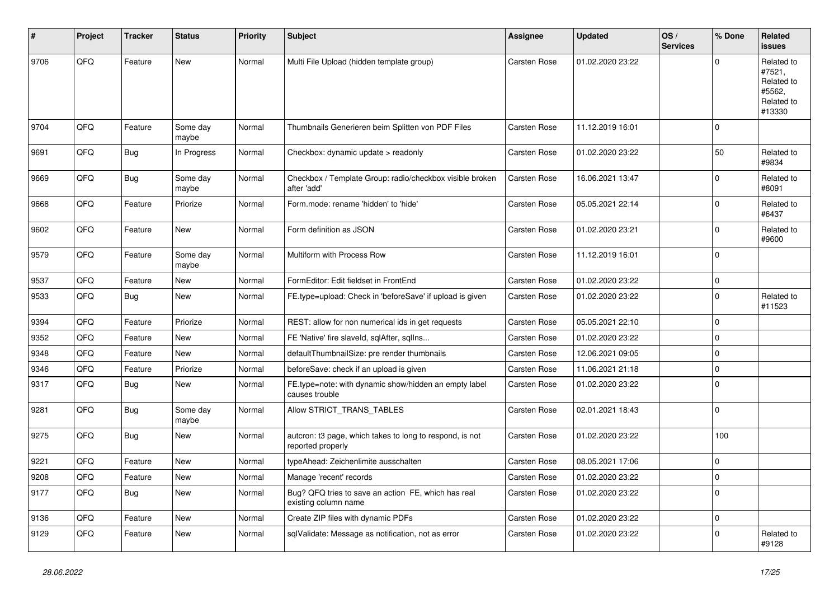| #    | Project | <b>Tracker</b> | <b>Status</b>     | <b>Priority</b> | <b>Subject</b>                                                                | Assignee            | <b>Updated</b>   | OS/<br><b>Services</b> | % Done      | <b>Related</b><br><b>issues</b>                                      |
|------|---------|----------------|-------------------|-----------------|-------------------------------------------------------------------------------|---------------------|------------------|------------------------|-------------|----------------------------------------------------------------------|
| 9706 | QFQ     | Feature        | <b>New</b>        | Normal          | Multi File Upload (hidden template group)                                     | <b>Carsten Rose</b> | 01.02.2020 23:22 |                        | $\Omega$    | Related to<br>#7521,<br>Related to<br>#5562,<br>Related to<br>#13330 |
| 9704 | QFQ     | Feature        | Some day<br>maybe | Normal          | Thumbnails Generieren beim Splitten von PDF Files                             | Carsten Rose        | 11.12.2019 16:01 |                        | $\mathbf 0$ |                                                                      |
| 9691 | QFQ     | <b>Bug</b>     | In Progress       | Normal          | Checkbox: dynamic update > readonly                                           | Carsten Rose        | 01.02.2020 23:22 |                        | 50          | Related to<br>#9834                                                  |
| 9669 | QFQ     | <b>Bug</b>     | Some day<br>maybe | Normal          | Checkbox / Template Group: radio/checkbox visible broken<br>after 'add'       | Carsten Rose        | 16.06.2021 13:47 |                        | $\Omega$    | Related to<br>#8091                                                  |
| 9668 | QFQ     | Feature        | Priorize          | Normal          | Form.mode: rename 'hidden' to 'hide'                                          | Carsten Rose        | 05.05.2021 22:14 |                        | $\Omega$    | Related to<br>#6437                                                  |
| 9602 | QFQ     | Feature        | <b>New</b>        | Normal          | Form definition as JSON                                                       | Carsten Rose        | 01.02.2020 23:21 |                        | $\mathbf 0$ | Related to<br>#9600                                                  |
| 9579 | QFQ     | Feature        | Some day<br>maybe | Normal          | Multiform with Process Row                                                    | Carsten Rose        | 11.12.2019 16:01 |                        | $\Omega$    |                                                                      |
| 9537 | QFQ     | Feature        | <b>New</b>        | Normal          | FormEditor: Edit fieldset in FrontEnd                                         | Carsten Rose        | 01.02.2020 23:22 |                        | $\mathbf 0$ |                                                                      |
| 9533 | QFQ     | Bug            | <b>New</b>        | Normal          | FE.type=upload: Check in 'beforeSave' if upload is given                      | Carsten Rose        | 01.02.2020 23:22 |                        | $\mathbf 0$ | Related to<br>#11523                                                 |
| 9394 | QFQ     | Feature        | Priorize          | Normal          | REST: allow for non numerical ids in get requests                             | Carsten Rose        | 05.05.2021 22:10 |                        | $\mathbf 0$ |                                                                      |
| 9352 | QFQ     | Feature        | <b>New</b>        | Normal          | FE 'Native' fire slaveld, sqlAfter, sqllns                                    | Carsten Rose        | 01.02.2020 23:22 |                        | $\mathbf 0$ |                                                                      |
| 9348 | QFQ     | Feature        | <b>New</b>        | Normal          | defaultThumbnailSize: pre render thumbnails                                   | Carsten Rose        | 12.06.2021 09:05 |                        | $\mathbf 0$ |                                                                      |
| 9346 | QFQ     | Feature        | Priorize          | Normal          | beforeSave: check if an upload is given                                       | Carsten Rose        | 11.06.2021 21:18 |                        | $\mathbf 0$ |                                                                      |
| 9317 | QFQ     | Bug            | New               | Normal          | FE.type=note: with dynamic show/hidden an empty label<br>causes trouble       | Carsten Rose        | 01.02.2020 23:22 |                        | $\Omega$    |                                                                      |
| 9281 | QFQ     | <b>Bug</b>     | Some day<br>maybe | Normal          | Allow STRICT_TRANS_TABLES                                                     | Carsten Rose        | 02.01.2021 18:43 |                        | $\mathbf 0$ |                                                                      |
| 9275 | QFQ     | <b>Bug</b>     | New               | Normal          | autcron: t3 page, which takes to long to respond, is not<br>reported properly | Carsten Rose        | 01.02.2020 23:22 |                        | 100         |                                                                      |
| 9221 | QFQ     | Feature        | <b>New</b>        | Normal          | typeAhead: Zeichenlimite ausschalten                                          | Carsten Rose        | 08.05.2021 17:06 |                        | $\mathbf 0$ |                                                                      |
| 9208 | QFQ     | Feature        | <b>New</b>        | Normal          | Manage 'recent' records                                                       | Carsten Rose        | 01.02.2020 23:22 |                        | $\mathbf 0$ |                                                                      |
| 9177 | QFQ     | <b>Bug</b>     | <b>New</b>        | Normal          | Bug? QFQ tries to save an action FE, which has real<br>existing column name   | Carsten Rose        | 01.02.2020 23:22 |                        | $\mathbf 0$ |                                                                      |
| 9136 | QFQ     | Feature        | <b>New</b>        | Normal          | Create ZIP files with dynamic PDFs                                            | Carsten Rose        | 01.02.2020 23:22 |                        | $\mathbf 0$ |                                                                      |
| 9129 | QFQ     | Feature        | New               | Normal          | sqlValidate: Message as notification, not as error                            | Carsten Rose        | 01.02.2020 23:22 |                        | $\Omega$    | Related to<br>#9128                                                  |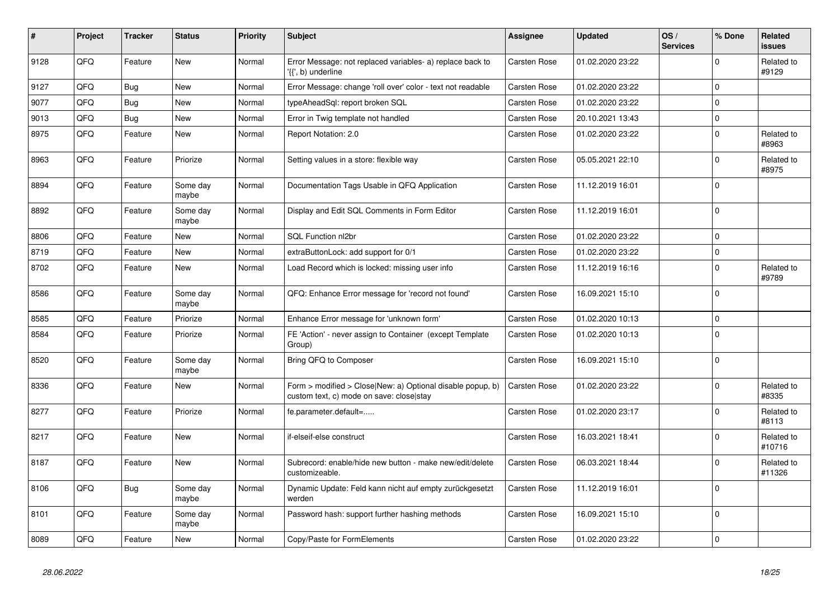| #    | Project | <b>Tracker</b> | <b>Status</b>     | <b>Priority</b> | <b>Subject</b>                                                                                         | Assignee     | <b>Updated</b>   | OS/<br><b>Services</b> | % Done      | Related<br><b>issues</b> |
|------|---------|----------------|-------------------|-----------------|--------------------------------------------------------------------------------------------------------|--------------|------------------|------------------------|-------------|--------------------------|
| 9128 | QFQ     | Feature        | <b>New</b>        | Normal          | Error Message: not replaced variables- a) replace back to<br>'{{', b) underline                        | Carsten Rose | 01.02.2020 23:22 |                        | $\Omega$    | Related to<br>#9129      |
| 9127 | QFQ     | <b>Bug</b>     | <b>New</b>        | Normal          | Error Message: change 'roll over' color - text not readable                                            | Carsten Rose | 01.02.2020 23:22 |                        | $\Omega$    |                          |
| 9077 | QFQ     | <b>Bug</b>     | <b>New</b>        | Normal          | typeAheadSql: report broken SQL                                                                        | Carsten Rose | 01.02.2020 23:22 |                        | $\mathbf 0$ |                          |
| 9013 | QFQ     | <b>Bug</b>     | <b>New</b>        | Normal          | Error in Twig template not handled                                                                     | Carsten Rose | 20.10.2021 13:43 |                        | $\mathbf 0$ |                          |
| 8975 | QFQ     | Feature        | <b>New</b>        | Normal          | Report Notation: 2.0                                                                                   | Carsten Rose | 01.02.2020 23:22 |                        | $\mathbf 0$ | Related to<br>#8963      |
| 8963 | QFQ     | Feature        | Priorize          | Normal          | Setting values in a store: flexible way                                                                | Carsten Rose | 05.05.2021 22:10 |                        | $\Omega$    | Related to<br>#8975      |
| 8894 | QFQ     | Feature        | Some day<br>maybe | Normal          | Documentation Tags Usable in QFQ Application                                                           | Carsten Rose | 11.12.2019 16:01 |                        | $\mathbf 0$ |                          |
| 8892 | QFQ     | Feature        | Some day<br>maybe | Normal          | Display and Edit SQL Comments in Form Editor                                                           | Carsten Rose | 11.12.2019 16:01 |                        | $\Omega$    |                          |
| 8806 | QFQ     | Feature        | <b>New</b>        | Normal          | <b>SQL Function nl2br</b>                                                                              | Carsten Rose | 01.02.2020 23:22 |                        | $\mathbf 0$ |                          |
| 8719 | QFQ     | Feature        | <b>New</b>        | Normal          | extraButtonLock: add support for 0/1                                                                   | Carsten Rose | 01.02.2020 23:22 |                        | $\mathbf 0$ |                          |
| 8702 | QFQ     | Feature        | <b>New</b>        | Normal          | Load Record which is locked: missing user info                                                         | Carsten Rose | 11.12.2019 16:16 |                        | $\Omega$    | Related to<br>#9789      |
| 8586 | QFQ     | Feature        | Some day<br>maybe | Normal          | QFQ: Enhance Error message for 'record not found'                                                      | Carsten Rose | 16.09.2021 15:10 |                        | $\Omega$    |                          |
| 8585 | QFQ     | Feature        | Priorize          | Normal          | Enhance Error message for 'unknown form'                                                               | Carsten Rose | 01.02.2020 10:13 |                        | $\Omega$    |                          |
| 8584 | QFQ     | Feature        | Priorize          | Normal          | FE 'Action' - never assign to Container (except Template<br>Group)                                     | Carsten Rose | 01.02.2020 10:13 |                        | $\Omega$    |                          |
| 8520 | QFQ     | Feature        | Some day<br>maybe | Normal          | Bring QFQ to Composer                                                                                  | Carsten Rose | 16.09.2021 15:10 |                        | $\mathbf 0$ |                          |
| 8336 | QFQ     | Feature        | <b>New</b>        | Normal          | Form > modified > Close New: a) Optional disable popup, b)<br>custom text, c) mode on save: close stay | Carsten Rose | 01.02.2020 23:22 |                        | $\Omega$    | Related to<br>#8335      |
| 8277 | QFQ     | Feature        | Priorize          | Normal          | fe.parameter.default=                                                                                  | Carsten Rose | 01.02.2020 23:17 |                        | $\Omega$    | Related to<br>#8113      |
| 8217 | QFQ     | Feature        | <b>New</b>        | Normal          | if-elseif-else construct                                                                               | Carsten Rose | 16.03.2021 18:41 |                        | $\Omega$    | Related to<br>#10716     |
| 8187 | QFQ     | Feature        | <b>New</b>        | Normal          | Subrecord: enable/hide new button - make new/edit/delete<br>customizeable.                             | Carsten Rose | 06.03.2021 18:44 |                        | $\Omega$    | Related to<br>#11326     |
| 8106 | QFQ     | Bug            | Some day<br>maybe | Normal          | Dynamic Update: Feld kann nicht auf empty zurückgesetzt<br>werden                                      | Carsten Rose | 11.12.2019 16:01 |                        | $\Omega$    |                          |
| 8101 | QFQ     | Feature        | Some day<br>maybe | Normal          | Password hash: support further hashing methods                                                         | Carsten Rose | 16.09.2021 15:10 |                        | $\mathbf 0$ |                          |
| 8089 | QFQ     | Feature        | New               | Normal          | Copy/Paste for FormElements                                                                            | Carsten Rose | 01.02.2020 23:22 |                        | 0           |                          |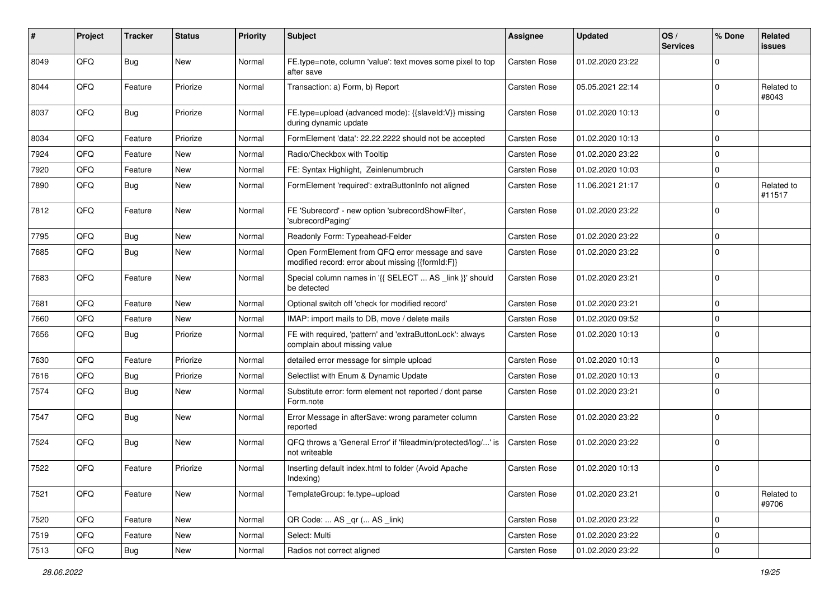| $\pmb{\#}$ | Project | <b>Tracker</b> | <b>Status</b> | <b>Priority</b> | <b>Subject</b>                                                                                        | <b>Assignee</b>     | <b>Updated</b>   | OS/<br><b>Services</b> | % Done      | Related<br>issues    |
|------------|---------|----------------|---------------|-----------------|-------------------------------------------------------------------------------------------------------|---------------------|------------------|------------------------|-------------|----------------------|
| 8049       | QFQ     | Bug            | New           | Normal          | FE.type=note, column 'value': text moves some pixel to top<br>after save                              | <b>Carsten Rose</b> | 01.02.2020 23:22 |                        | $\Omega$    |                      |
| 8044       | QFQ     | Feature        | Priorize      | Normal          | Transaction: a) Form, b) Report                                                                       | Carsten Rose        | 05.05.2021 22:14 |                        | $\mathbf 0$ | Related to<br>#8043  |
| 8037       | QFQ     | Bug            | Priorize      | Normal          | FE.type=upload (advanced mode): {{slaveld:V}} missing<br>during dynamic update                        | Carsten Rose        | 01.02.2020 10:13 |                        | $\mathbf 0$ |                      |
| 8034       | QFQ     | Feature        | Priorize      | Normal          | FormElement 'data': 22.22.2222 should not be accepted                                                 | <b>Carsten Rose</b> | 01.02.2020 10:13 |                        | 0           |                      |
| 7924       | QFQ     | Feature        | New           | Normal          | Radio/Checkbox with Tooltip                                                                           | Carsten Rose        | 01.02.2020 23:22 |                        | $\mathbf 0$ |                      |
| 7920       | QFQ     | Feature        | New           | Normal          | FE: Syntax Highlight, Zeinlenumbruch                                                                  | Carsten Rose        | 01.02.2020 10:03 |                        | $\mathbf 0$ |                      |
| 7890       | QFQ     | <b>Bug</b>     | <b>New</b>    | Normal          | FormElement 'required': extraButtonInfo not aligned                                                   | Carsten Rose        | 11.06.2021 21:17 |                        | $\mathbf 0$ | Related to<br>#11517 |
| 7812       | QFQ     | Feature        | <b>New</b>    | Normal          | FE 'Subrecord' - new option 'subrecordShowFilter',<br>'subrecordPaging'                               | Carsten Rose        | 01.02.2020 23:22 |                        | $\Omega$    |                      |
| 7795       | QFQ     | <b>Bug</b>     | <b>New</b>    | Normal          | Readonly Form: Typeahead-Felder                                                                       | Carsten Rose        | 01.02.2020 23:22 |                        | $\mathbf 0$ |                      |
| 7685       | QFQ     | Bug            | New           | Normal          | Open FormElement from QFQ error message and save<br>modified record: error about missing {{formId:F}} | Carsten Rose        | 01.02.2020 23:22 |                        | $\Omega$    |                      |
| 7683       | QFQ     | Feature        | <b>New</b>    | Normal          | Special column names in '{{ SELECT  AS _link }}' should<br>be detected                                | Carsten Rose        | 01.02.2020 23:21 |                        | $\mathbf 0$ |                      |
| 7681       | QFQ     | Feature        | New           | Normal          | Optional switch off 'check for modified record'                                                       | Carsten Rose        | 01.02.2020 23:21 |                        | $\mathbf 0$ |                      |
| 7660       | QFQ     | Feature        | New           | Normal          | IMAP: import mails to DB, move / delete mails                                                         | Carsten Rose        | 01.02.2020 09:52 |                        | $\mathbf 0$ |                      |
| 7656       | QFQ     | Bug            | Priorize      | Normal          | FE with required, 'pattern' and 'extraButtonLock': always<br>complain about missing value             | Carsten Rose        | 01.02.2020 10:13 |                        | $\Omega$    |                      |
| 7630       | QFQ     | Feature        | Priorize      | Normal          | detailed error message for simple upload                                                              | <b>Carsten Rose</b> | 01.02.2020 10:13 |                        | $\mathbf 0$ |                      |
| 7616       | QFQ     | <b>Bug</b>     | Priorize      | Normal          | Selectlist with Enum & Dynamic Update                                                                 | Carsten Rose        | 01.02.2020 10:13 |                        | $\mathbf 0$ |                      |
| 7574       | QFQ     | <b>Bug</b>     | New           | Normal          | Substitute error: form element not reported / dont parse<br>Form.note                                 | Carsten Rose        | 01.02.2020 23:21 |                        | $\Omega$    |                      |
| 7547       | QFQ     | Bug            | New           | Normal          | Error Message in afterSave: wrong parameter column<br>reported                                        | <b>Carsten Rose</b> | 01.02.2020 23:22 |                        | $\Omega$    |                      |
| 7524       | QFQ     | Bug            | <b>New</b>    | Normal          | QFQ throws a 'General Error' if 'fileadmin/protected/log/' is<br>not writeable                        | <b>Carsten Rose</b> | 01.02.2020 23:22 |                        | $\Omega$    |                      |
| 7522       | QFQ     | Feature        | Priorize      | Normal          | Inserting default index.html to folder (Avoid Apache<br>Indexing)                                     | Carsten Rose        | 01.02.2020 10:13 |                        | $\mathbf 0$ |                      |
| 7521       | QFQ     | Feature        | New           | Normal          | TemplateGroup: fe.type=upload                                                                         | Carsten Rose        | 01.02.2020 23:21 |                        | $\mathbf 0$ | Related to<br>#9706  |
| 7520       | QFQ     | Feature        | New           | Normal          | QR Code:  AS _qr ( AS _link)                                                                          | Carsten Rose        | 01.02.2020 23:22 |                        | 0           |                      |
| 7519       | QFQ     | Feature        | <b>New</b>    | Normal          | Select: Multi                                                                                         | Carsten Rose        | 01.02.2020 23:22 |                        | $\mathbf 0$ |                      |
| 7513       | QFG     | Bug            | New           | Normal          | Radios not correct aligned                                                                            | Carsten Rose        | 01.02.2020 23:22 |                        | 0           |                      |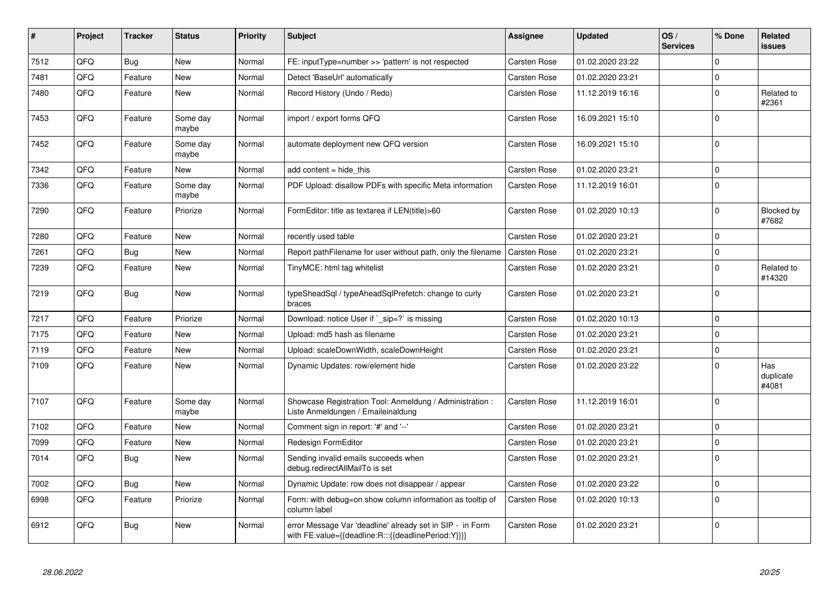| $\sharp$ | Project | <b>Tracker</b> | <b>Status</b>     | <b>Priority</b> | <b>Subject</b>                                                                                                   | Assignee            | <b>Updated</b>   | OS/<br><b>Services</b> | % Done      | Related<br>issues         |
|----------|---------|----------------|-------------------|-----------------|------------------------------------------------------------------------------------------------------------------|---------------------|------------------|------------------------|-------------|---------------------------|
| 7512     | QFQ     | <b>Bug</b>     | New               | Normal          | FE: inputType=number >> 'pattern' is not respected                                                               | <b>Carsten Rose</b> | 01.02.2020 23:22 |                        | $\Omega$    |                           |
| 7481     | QFQ     | Feature        | New               | Normal          | Detect 'BaseUrl' automatically                                                                                   | Carsten Rose        | 01.02.2020 23:21 |                        | $\Omega$    |                           |
| 7480     | QFQ     | Feature        | New               | Normal          | Record History (Undo / Redo)                                                                                     | Carsten Rose        | 11.12.2019 16:16 |                        | 0           | Related to<br>#2361       |
| 7453     | QFQ     | Feature        | Some day<br>maybe | Normal          | import / export forms QFQ                                                                                        | Carsten Rose        | 16.09.2021 15:10 |                        | $\Omega$    |                           |
| 7452     | QFQ     | Feature        | Some day<br>maybe | Normal          | automate deployment new QFQ version                                                                              | Carsten Rose        | 16.09.2021 15:10 |                        | $\Omega$    |                           |
| 7342     | QFQ     | Feature        | New               | Normal          | add content $=$ hide this                                                                                        | <b>Carsten Rose</b> | 01.02.2020 23:21 |                        | 0           |                           |
| 7336     | QFQ     | Feature        | Some day<br>maybe | Normal          | PDF Upload: disallow PDFs with specific Meta information                                                         | <b>Carsten Rose</b> | 11.12.2019 16:01 |                        | $\Omega$    |                           |
| 7290     | QFQ     | Feature        | Priorize          | Normal          | FormEditor: title as textarea if LEN(title)>60                                                                   | <b>Carsten Rose</b> | 01.02.2020 10:13 |                        | $\Omega$    | Blocked by<br>#7682       |
| 7280     | QFQ     | Feature        | <b>New</b>        | Normal          | recently used table                                                                                              | <b>Carsten Rose</b> | 01.02.2020 23:21 |                        | $\Omega$    |                           |
| 7261     | QFQ     | <b>Bug</b>     | New               | Normal          | Report pathFilename for user without path, only the filename                                                     | Carsten Rose        | 01.02.2020 23:21 |                        | $\Omega$    |                           |
| 7239     | QFQ     | Feature        | <b>New</b>        | Normal          | TinyMCE: html tag whitelist                                                                                      | <b>Carsten Rose</b> | 01.02.2020 23:21 |                        | $\Omega$    | Related to<br>#14320      |
| 7219     | QFQ     | Bug            | New               | Normal          | typeSheadSql / typeAheadSqlPrefetch: change to curly<br>braces                                                   | <b>Carsten Rose</b> | 01.02.2020 23:21 |                        | $\Omega$    |                           |
| 7217     | QFQ     | Feature        | Priorize          | Normal          | Download: notice User if ` sip=?` is missing                                                                     | Carsten Rose        | 01.02.2020 10:13 |                        | $\Omega$    |                           |
| 7175     | QFQ     | Feature        | New               | Normal          | Upload: md5 hash as filename                                                                                     | <b>Carsten Rose</b> | 01.02.2020 23:21 |                        | $\Omega$    |                           |
| 7119     | QFQ     | Feature        | New               | Normal          | Upload: scaleDownWidth, scaleDownHeight                                                                          | <b>Carsten Rose</b> | 01.02.2020 23:21 |                        | $\mathbf 0$ |                           |
| 7109     | QFQ     | Feature        | <b>New</b>        | Normal          | Dynamic Updates: row/element hide                                                                                | Carsten Rose        | 01.02.2020 23:22 |                        | $\Omega$    | Has<br>duplicate<br>#4081 |
| 7107     | QFQ     | Feature        | Some day<br>maybe | Normal          | Showcase Registration Tool: Anmeldung / Administration :<br>Liste Anmeldungen / Emaileinaldung                   | Carsten Rose        | 11.12.2019 16:01 |                        | $\mathbf 0$ |                           |
| 7102     | QFQ     | Feature        | New               | Normal          | Comment sign in report: '#' and '--'                                                                             | <b>Carsten Rose</b> | 01.02.2020 23:21 |                        | 0           |                           |
| 7099     | QFQ     | Feature        | <b>New</b>        | Normal          | Redesign FormEditor                                                                                              | Carsten Rose        | 01.02.2020 23:21 |                        | $\Omega$    |                           |
| 7014     | QFQ     | <b>Bug</b>     | New               | Normal          | Sending invalid emails succeeds when<br>debug.redirectAllMailTo is set                                           | Carsten Rose        | 01.02.2020 23:21 |                        | 0           |                           |
| 7002     | QFQ     | <b>Bug</b>     | New               | Normal          | Dynamic Update: row does not disappear / appear                                                                  | Carsten Rose        | 01.02.2020 23:22 |                        | 0           |                           |
| 6998     | QFQ     | Feature        | Priorize          | Normal          | Form: with debug=on show column information as tooltip of<br>column label                                        | <b>Carsten Rose</b> | 01.02.2020 10:13 |                        | $\Omega$    |                           |
| 6912     | QFQ     | <b>Bug</b>     | New               | Normal          | error Message Var 'deadline' already set in SIP - in Form<br>with FE.value={{deadline:R:::{{deadlinePeriod:Y}}}} | <b>Carsten Rose</b> | 01.02.2020 23:21 |                        | $\Omega$    |                           |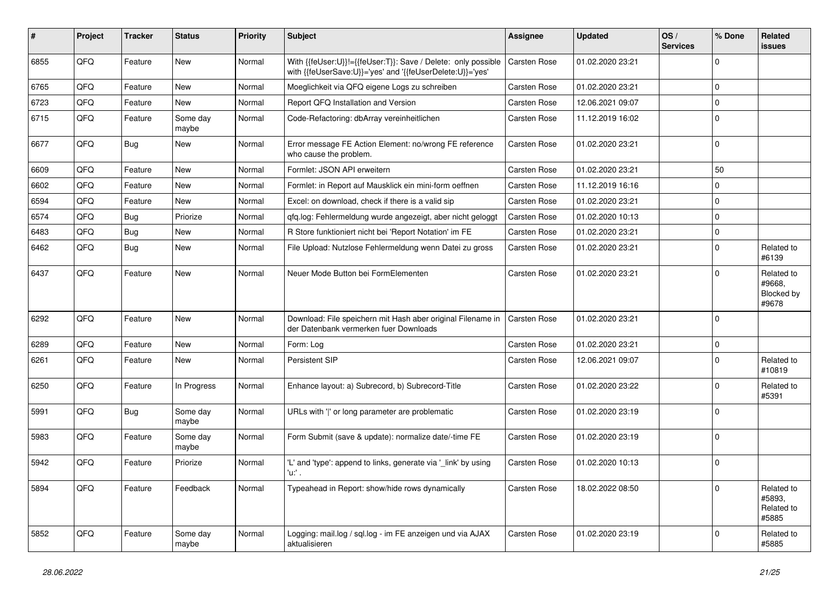| ∦    | Project | <b>Tracker</b> | <b>Status</b>     | <b>Priority</b> | <b>Subject</b>                                                                                                             | Assignee            | <b>Updated</b>   | OS/<br><b>Services</b> | % Done         | Related<br>issues                           |
|------|---------|----------------|-------------------|-----------------|----------------------------------------------------------------------------------------------------------------------------|---------------------|------------------|------------------------|----------------|---------------------------------------------|
| 6855 | QFQ     | Feature        | <b>New</b>        | Normal          | With {{feUser:U}}!={{feUser:T}}: Save / Delete: only possible<br>with {{feUserSave:U}}='yes' and '{{feUserDelete:U}}='yes' | <b>Carsten Rose</b> | 01.02.2020 23:21 |                        | $\Omega$       |                                             |
| 6765 | QFQ     | Feature        | <b>New</b>        | Normal          | Moeglichkeit via QFQ eigene Logs zu schreiben                                                                              | Carsten Rose        | 01.02.2020 23:21 |                        | 0              |                                             |
| 6723 | QFQ     | Feature        | <b>New</b>        | Normal          | Report QFQ Installation and Version                                                                                        | Carsten Rose        | 12.06.2021 09:07 |                        | 0              |                                             |
| 6715 | QFQ     | Feature        | Some day<br>maybe | Normal          | Code-Refactoring: dbArray vereinheitlichen                                                                                 | Carsten Rose        | 11.12.2019 16:02 |                        | $\Omega$       |                                             |
| 6677 | QFQ     | Bug            | New               | Normal          | Error message FE Action Element: no/wrong FE reference<br>who cause the problem.                                           | Carsten Rose        | 01.02.2020 23:21 |                        | $\mathbf 0$    |                                             |
| 6609 | QFQ     | Feature        | <b>New</b>        | Normal          | Formlet: JSON API erweitern                                                                                                | Carsten Rose        | 01.02.2020 23:21 |                        | 50             |                                             |
| 6602 | QFQ     | Feature        | New               | Normal          | Formlet: in Report auf Mausklick ein mini-form oeffnen                                                                     | Carsten Rose        | 11.12.2019 16:16 |                        | 0              |                                             |
| 6594 | QFQ     | Feature        | New               | Normal          | Excel: on download, check if there is a valid sip                                                                          | Carsten Rose        | 01.02.2020 23:21 |                        | $\Omega$       |                                             |
| 6574 | QFQ     | Bug            | Priorize          | Normal          | qfq.log: Fehlermeldung wurde angezeigt, aber nicht geloggt                                                                 | Carsten Rose        | 01.02.2020 10:13 |                        | 0              |                                             |
| 6483 | QFQ     | Bug            | New               | Normal          | R Store funktioniert nicht bei 'Report Notation' im FE                                                                     | Carsten Rose        | 01.02.2020 23:21 |                        | 0              |                                             |
| 6462 | QFQ     | Bug            | New               | Normal          | File Upload: Nutzlose Fehlermeldung wenn Datei zu gross                                                                    | Carsten Rose        | 01.02.2020 23:21 |                        | $\Omega$       | Related to<br>#6139                         |
| 6437 | QFQ     | Feature        | New               | Normal          | Neuer Mode Button bei FormElementen                                                                                        | Carsten Rose        | 01.02.2020 23:21 |                        | $\Omega$       | Related to<br>#9668,<br>Blocked by<br>#9678 |
| 6292 | QFQ     | Feature        | <b>New</b>        | Normal          | Download: File speichern mit Hash aber original Filename in<br>der Datenbank vermerken fuer Downloads                      | Carsten Rose        | 01.02.2020 23:21 |                        | $\Omega$       |                                             |
| 6289 | QFQ     | Feature        | <b>New</b>        | Normal          | Form: Log                                                                                                                  | Carsten Rose        | 01.02.2020 23:21 |                        | $\Omega$       |                                             |
| 6261 | QFQ     | Feature        | New               | Normal          | Persistent SIP                                                                                                             | Carsten Rose        | 12.06.2021 09:07 |                        | $\Omega$       | Related to<br>#10819                        |
| 6250 | QFQ     | Feature        | In Progress       | Normal          | Enhance layout: a) Subrecord, b) Subrecord-Title                                                                           | Carsten Rose        | 01.02.2020 23:22 |                        | $\Omega$       | Related to<br>#5391                         |
| 5991 | QFQ     | <b>Bug</b>     | Some day<br>maybe | Normal          | URLs with ' ' or long parameter are problematic                                                                            | Carsten Rose        | 01.02.2020 23:19 |                        | $\Omega$       |                                             |
| 5983 | QFQ     | Feature        | Some day<br>maybe | Normal          | Form Submit (save & update): normalize date/-time FE                                                                       | Carsten Rose        | 01.02.2020 23:19 |                        | $\Omega$       |                                             |
| 5942 | QFQ     | Feature        | Priorize          | Normal          | 'L' and 'type': append to links, generate via '_link' by using<br>'u. .                                                    | Carsten Rose        | 01.02.2020 10:13 |                        | $\overline{0}$ |                                             |
| 5894 | QFQ     | Feature        | Feedback          | Normal          | Typeahead in Report: show/hide rows dynamically                                                                            | Carsten Rose        | 18.02.2022 08:50 |                        | $\Omega$       | Related to<br>#5893,<br>Related to<br>#5885 |
| 5852 | QFQ     | Feature        | Some day<br>maybe | Normal          | Logging: mail.log / sql.log - im FE anzeigen und via AJAX<br>aktualisieren                                                 | Carsten Rose        | 01.02.2020 23:19 |                        | 0              | Related to<br>#5885                         |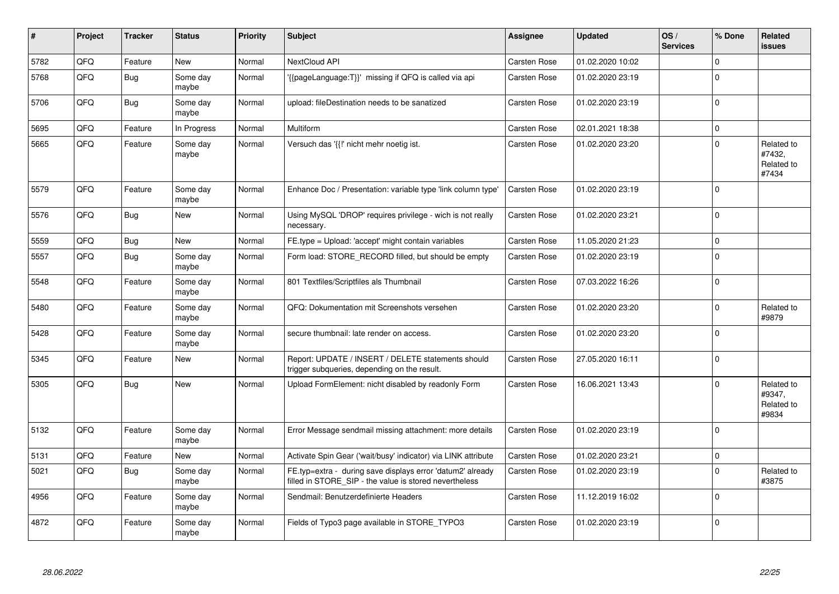| #    | Project | <b>Tracker</b> | <b>Status</b>     | <b>Priority</b> | <b>Subject</b>                                                                                                       | Assignee     | <b>Updated</b>   | OS/<br><b>Services</b> | % Done      | Related<br><b>issues</b>                    |
|------|---------|----------------|-------------------|-----------------|----------------------------------------------------------------------------------------------------------------------|--------------|------------------|------------------------|-------------|---------------------------------------------|
| 5782 | QFQ     | Feature        | <b>New</b>        | Normal          | NextCloud API                                                                                                        | Carsten Rose | 01.02.2020 10:02 |                        | $\Omega$    |                                             |
| 5768 | QFQ     | <b>Bug</b>     | Some day<br>maybe | Normal          | '{{pageLanguage:T}}' missing if QFQ is called via api                                                                | Carsten Rose | 01.02.2020 23:19 |                        | $\Omega$    |                                             |
| 5706 | QFQ     | Bug            | Some day<br>maybe | Normal          | upload: fileDestination needs to be sanatized                                                                        | Carsten Rose | 01.02.2020 23:19 |                        | $\Omega$    |                                             |
| 5695 | QFQ     | Feature        | In Progress       | Normal          | Multiform                                                                                                            | Carsten Rose | 02.01.2021 18:38 |                        | $\mathbf 0$ |                                             |
| 5665 | QFQ     | Feature        | Some day<br>maybe | Normal          | Versuch das '{{!' nicht mehr noetig ist.                                                                             | Carsten Rose | 01.02.2020 23:20 |                        | $\mathbf 0$ | Related to<br>#7432,<br>Related to<br>#7434 |
| 5579 | QFQ     | Feature        | Some day<br>maybe | Normal          | Enhance Doc / Presentation: variable type 'link column type'                                                         | Carsten Rose | 01.02.2020 23:19 |                        | $\Omega$    |                                             |
| 5576 | QFQ     | Bug            | New               | Normal          | Using MySQL 'DROP' requires privilege - wich is not really<br>necessary.                                             | Carsten Rose | 01.02.2020 23:21 |                        | $\Omega$    |                                             |
| 5559 | QFQ     | Bug            | <b>New</b>        | Normal          | FE.type = Upload: 'accept' might contain variables                                                                   | Carsten Rose | 11.05.2020 21:23 |                        | $\mathbf 0$ |                                             |
| 5557 | QFQ     | <b>Bug</b>     | Some day<br>maybe | Normal          | Form load: STORE RECORD filled, but should be empty                                                                  | Carsten Rose | 01.02.2020 23:19 |                        | $\Omega$    |                                             |
| 5548 | QFQ     | Feature        | Some day<br>maybe | Normal          | 801 Textfiles/Scriptfiles als Thumbnail                                                                              | Carsten Rose | 07.03.2022 16:26 |                        | $\Omega$    |                                             |
| 5480 | QFQ     | Feature        | Some day<br>maybe | Normal          | QFQ: Dokumentation mit Screenshots versehen                                                                          | Carsten Rose | 01.02.2020 23:20 |                        | $\Omega$    | Related to<br>#9879                         |
| 5428 | QFQ     | Feature        | Some day<br>maybe | Normal          | secure thumbnail: late render on access.                                                                             | Carsten Rose | 01.02.2020 23:20 |                        | $\Omega$    |                                             |
| 5345 | QFQ     | Feature        | <b>New</b>        | Normal          | Report: UPDATE / INSERT / DELETE statements should<br>trigger subqueries, depending on the result.                   | Carsten Rose | 27.05.2020 16:11 |                        | $\mathbf 0$ |                                             |
| 5305 | QFQ     | <b>Bug</b>     | <b>New</b>        | Normal          | Upload FormElement: nicht disabled by readonly Form                                                                  | Carsten Rose | 16.06.2021 13:43 |                        | $\Omega$    | Related to<br>#9347,<br>Related to<br>#9834 |
| 5132 | QFQ     | Feature        | Some day<br>maybe | Normal          | Error Message sendmail missing attachment: more details                                                              | Carsten Rose | 01.02.2020 23:19 |                        | $\Omega$    |                                             |
| 5131 | QFQ     | Feature        | <b>New</b>        | Normal          | Activate Spin Gear ('wait/busy' indicator) via LINK attribute                                                        | Carsten Rose | 01.02.2020 23:21 |                        | $\pmb{0}$   |                                             |
| 5021 | QFQ     | Bug            | Some day<br>maybe | Normal          | FE.typ=extra - during save displays error 'datum2' already<br>filled in STORE_SIP - the value is stored nevertheless | Carsten Rose | 01.02.2020 23:19 |                        | $\Omega$    | Related to<br>#3875                         |
| 4956 | QFG     | Feature        | Some day<br>maybe | Normal          | Sendmail: Benutzerdefinierte Headers                                                                                 | Carsten Rose | 11.12.2019 16:02 |                        | $\mathbf 0$ |                                             |
| 4872 | QFQ     | Feature        | Some day<br>maybe | Normal          | Fields of Typo3 page available in STORE_TYPO3                                                                        | Carsten Rose | 01.02.2020 23:19 |                        | $\Omega$    |                                             |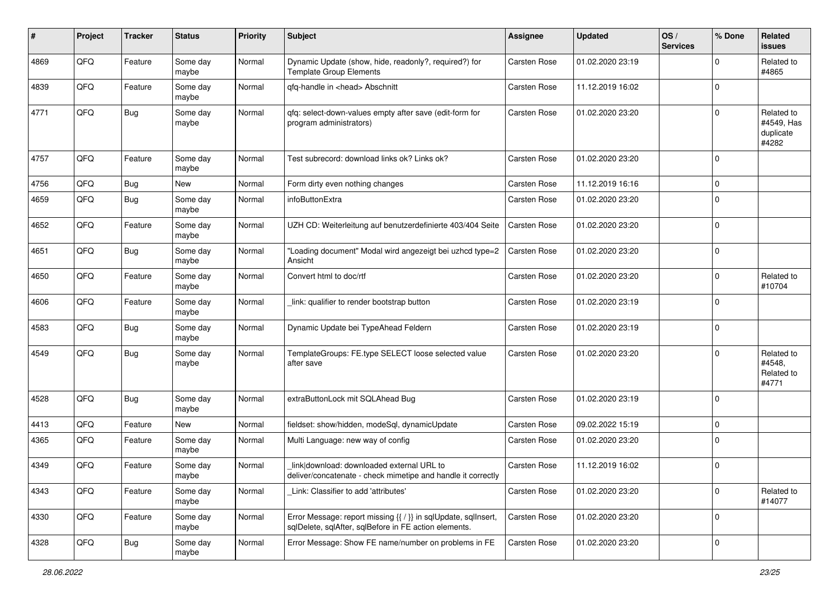| #    | Project | <b>Tracker</b> | <b>Status</b>     | <b>Priority</b> | <b>Subject</b>                                                                                                          | <b>Assignee</b> | <b>Updated</b>   | OS/<br><b>Services</b> | % Done       | Related<br>issues                              |
|------|---------|----------------|-------------------|-----------------|-------------------------------------------------------------------------------------------------------------------------|-----------------|------------------|------------------------|--------------|------------------------------------------------|
| 4869 | QFQ     | Feature        | Some day<br>maybe | Normal          | Dynamic Update (show, hide, readonly?, required?) for<br><b>Template Group Elements</b>                                 | Carsten Rose    | 01.02.2020 23:19 |                        | $\Omega$     | Related to<br>#4865                            |
| 4839 | QFQ     | Feature        | Some day<br>maybe | Normal          | qfq-handle in <head> Abschnitt</head>                                                                                   | Carsten Rose    | 11.12.2019 16:02 |                        | $\mathbf 0$  |                                                |
| 4771 | QFQ     | Bug            | Some day<br>maybe | Normal          | gfg: select-down-values empty after save (edit-form for<br>program administrators)                                      | Carsten Rose    | 01.02.2020 23:20 |                        | $\Omega$     | Related to<br>#4549, Has<br>duplicate<br>#4282 |
| 4757 | QFQ     | Feature        | Some day<br>maybe | Normal          | Test subrecord: download links ok? Links ok?                                                                            | Carsten Rose    | 01.02.2020 23:20 |                        | $\Omega$     |                                                |
| 4756 | QFQ     | Bug            | <b>New</b>        | Normal          | Form dirty even nothing changes                                                                                         | Carsten Rose    | 11.12.2019 16:16 |                        | $\Omega$     |                                                |
| 4659 | QFQ     | <b>Bug</b>     | Some day<br>maybe | Normal          | infoButtonExtra                                                                                                         | Carsten Rose    | 01.02.2020 23:20 |                        | $\Omega$     |                                                |
| 4652 | QFQ     | Feature        | Some day<br>maybe | Normal          | UZH CD: Weiterleitung auf benutzerdefinierte 403/404 Seite                                                              | Carsten Rose    | 01.02.2020 23:20 |                        | $\mathbf{0}$ |                                                |
| 4651 | QFQ     | <b>Bug</b>     | Some day<br>maybe | Normal          | "Loading document" Modal wird angezeigt bei uzhcd type=2<br>Ansicht                                                     | Carsten Rose    | 01.02.2020 23:20 |                        | $\Omega$     |                                                |
| 4650 | QFQ     | Feature        | Some day<br>maybe | Normal          | Convert html to doc/rtf                                                                                                 | Carsten Rose    | 01.02.2020 23:20 |                        | $\Omega$     | Related to<br>#10704                           |
| 4606 | QFQ     | Feature        | Some day<br>maybe | Normal          | link: qualifier to render bootstrap button                                                                              | Carsten Rose    | 01.02.2020 23:19 |                        | $\Omega$     |                                                |
| 4583 | QFQ     | Bug            | Some day<br>maybe | Normal          | Dynamic Update bei TypeAhead Feldern                                                                                    | Carsten Rose    | 01.02.2020 23:19 |                        | $\Omega$     |                                                |
| 4549 | QFQ     | Bug            | Some day<br>maybe | Normal          | TemplateGroups: FE.type SELECT loose selected value<br>after save                                                       | Carsten Rose    | 01.02.2020 23:20 |                        | $\Omega$     | Related to<br>#4548,<br>Related to<br>#4771    |
| 4528 | QFQ     | Bug            | Some day<br>maybe | Normal          | extraButtonLock mit SQLAhead Bug                                                                                        | Carsten Rose    | 01.02.2020 23:19 |                        | $\mathbf 0$  |                                                |
| 4413 | QFQ     | Feature        | <b>New</b>        | Normal          | fieldset: show/hidden, modeSql, dynamicUpdate                                                                           | Carsten Rose    | 09.02.2022 15:19 |                        | 0            |                                                |
| 4365 | QFQ     | Feature        | Some day<br>maybe | Normal          | Multi Language: new way of config                                                                                       | Carsten Rose    | 01.02.2020 23:20 |                        | $\Omega$     |                                                |
| 4349 | QFQ     | Feature        | Some day<br>maybe | Normal          | link download: downloaded external URL to<br>deliver/concatenate - check mimetipe and handle it correctly               | Carsten Rose    | 11.12.2019 16:02 |                        | $\Omega$     |                                                |
| 4343 | QFQ     | Feature        | Some day<br>maybe | Normal          | Link: Classifier to add 'attributes'                                                                                    | Carsten Rose    | 01.02.2020 23:20 |                        | $\mathbf 0$  | Related to<br>#14077                           |
| 4330 | QFQ     | Feature        | Some day<br>maybe | Normal          | Error Message: report missing {{ / }} in sqlUpdate, sqlInsert,<br>sqlDelete, sqlAfter, sqlBefore in FE action elements. | Carsten Rose    | 01.02.2020 23:20 |                        | $\mathbf 0$  |                                                |
| 4328 | QFQ     | <b>Bug</b>     | Some day<br>maybe | Normal          | Error Message: Show FE name/number on problems in FE                                                                    | Carsten Rose    | 01.02.2020 23:20 |                        | $\mathbf 0$  |                                                |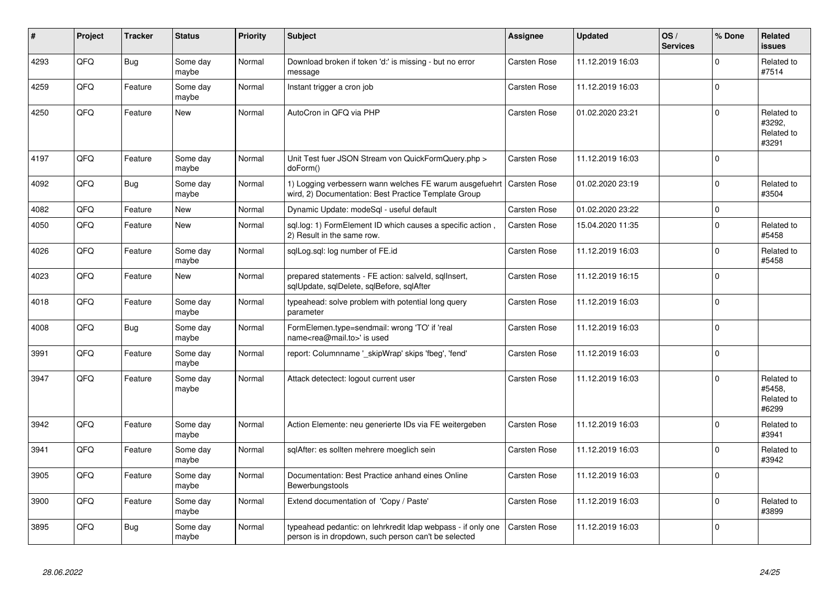| #    | Project | Tracker    | <b>Status</b>     | <b>Priority</b> | <b>Subject</b>                                                                                                       | Assignee            | <b>Updated</b>   | OS/<br><b>Services</b> | % Done      | Related<br>issues                           |
|------|---------|------------|-------------------|-----------------|----------------------------------------------------------------------------------------------------------------------|---------------------|------------------|------------------------|-------------|---------------------------------------------|
| 4293 | QFQ     | <b>Bug</b> | Some day<br>maybe | Normal          | Download broken if token 'd:' is missing - but no error<br>message                                                   | <b>Carsten Rose</b> | 11.12.2019 16:03 |                        | $\Omega$    | Related to<br>#7514                         |
| 4259 | QFQ     | Feature    | Some day<br>maybe | Normal          | Instant trigger a cron job                                                                                           | Carsten Rose        | 11.12.2019 16:03 |                        | $\Omega$    |                                             |
| 4250 | QFQ     | Feature    | New               | Normal          | AutoCron in QFQ via PHP                                                                                              | <b>Carsten Rose</b> | 01.02.2020 23:21 |                        | $\Omega$    | Related to<br>#3292.<br>Related to<br>#3291 |
| 4197 | QFQ     | Feature    | Some day<br>maybe | Normal          | Unit Test fuer JSON Stream von QuickFormQuery.php ><br>doForm()                                                      | <b>Carsten Rose</b> | 11.12.2019 16:03 |                        | $\Omega$    |                                             |
| 4092 | QFQ     | Bug        | Some day<br>maybe | Normal          | 1) Logging verbessern wann welches FE warum ausgefuehrt<br>wird, 2) Documentation: Best Practice Template Group      | Carsten Rose        | 01.02.2020 23:19 |                        | $\Omega$    | Related to<br>#3504                         |
| 4082 | QFQ     | Feature    | New               | Normal          | Dynamic Update: modeSql - useful default                                                                             | Carsten Rose        | 01.02.2020 23:22 |                        | $\mathbf 0$ |                                             |
| 4050 | QFQ     | Feature    | <b>New</b>        | Normal          | sql.log: 1) FormElement ID which causes a specific action,<br>2) Result in the same row.                             | Carsten Rose        | 15.04.2020 11:35 |                        | $\Omega$    | Related to<br>#5458                         |
| 4026 | QFQ     | Feature    | Some day<br>maybe | Normal          | sqlLog.sql: log number of FE.id                                                                                      | Carsten Rose        | 11.12.2019 16:03 |                        | $\Omega$    | Related to<br>#5458                         |
| 4023 | QFQ     | Feature    | New               | Normal          | prepared statements - FE action: salveld, sqllnsert,<br>sqlUpdate, sqlDelete, sqlBefore, sqlAfter                    | <b>Carsten Rose</b> | 11.12.2019 16:15 |                        | $\Omega$    |                                             |
| 4018 | QFQ     | Feature    | Some day<br>maybe | Normal          | typeahead: solve problem with potential long query<br>parameter                                                      | <b>Carsten Rose</b> | 11.12.2019 16:03 |                        | $\Omega$    |                                             |
| 4008 | QFQ     | Bug        | Some day<br>maybe | Normal          | FormElemen.type=sendmail: wrong 'TO' if 'real<br>name <rea@mail.to>' is used</rea@mail.to>                           | Carsten Rose        | 11.12.2019 16:03 |                        | $\Omega$    |                                             |
| 3991 | QFQ     | Feature    | Some day<br>maybe | Normal          | report: Columnname ' skipWrap' skips 'fbeg', 'fend'                                                                  | <b>Carsten Rose</b> | 11.12.2019 16:03 |                        | $\Omega$    |                                             |
| 3947 | QFQ     | Feature    | Some day<br>maybe | Normal          | Attack detectect: logout current user                                                                                | Carsten Rose        | 11.12.2019 16:03 |                        | $\Omega$    | Related to<br>#5458.<br>Related to<br>#6299 |
| 3942 | QFQ     | Feature    | Some day<br>maybe | Normal          | Action Elemente: neu generierte IDs via FE weitergeben                                                               | <b>Carsten Rose</b> | 11.12.2019 16:03 |                        | $\Omega$    | Related to<br>#3941                         |
| 3941 | QFQ     | Feature    | Some day<br>maybe | Normal          | sqlAfter: es sollten mehrere moeglich sein                                                                           | Carsten Rose        | 11.12.2019 16:03 |                        | $\Omega$    | Related to<br>#3942                         |
| 3905 | QFQ     | Feature    | Some day<br>maybe | Normal          | Documentation: Best Practice anhand eines Online<br>Bewerbungstools                                                  | Carsten Rose        | 11.12.2019 16:03 |                        | $\Omega$    |                                             |
| 3900 | QFQ     | Feature    | Some day<br>maybe | Normal          | Extend documentation of 'Copy / Paste'                                                                               | <b>Carsten Rose</b> | 11.12.2019 16:03 |                        | $\Omega$    | Related to<br>#3899                         |
| 3895 | QFQ     | Bug        | Some day<br>maybe | Normal          | typeahead pedantic: on lehrkredit Idap webpass - if only one<br>person is in dropdown, such person can't be selected | <b>Carsten Rose</b> | 11.12.2019 16:03 |                        | $\Omega$    |                                             |